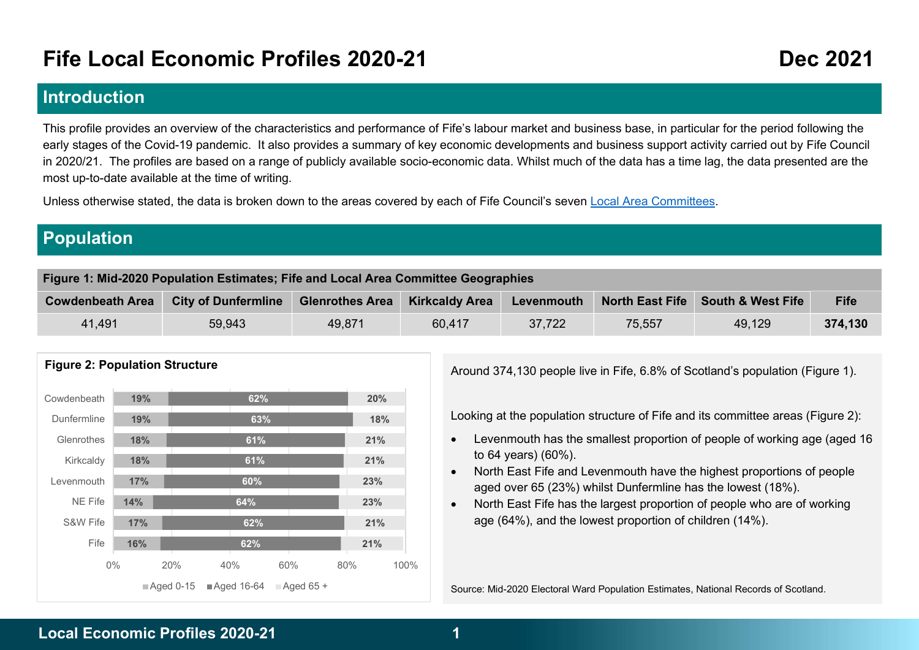# Fife Local Economic Profiles 2020-21 Dec 2021

## Introduction

This profile provides an overview of the characteristics and performance of Fife's labour market and business base, in particular for the period following the early stages of the Covid-19 pandemic. It also provides a summary of key economic developments and business support activity carried out by Fife Council in 2020/21. The profiles are based on a range of publicly available socio-economic data. Whilst much of the data has a time lag, the data presented are the most up-to-date available at the time of writing.

Unless otherwise stated, the data is broken down to the areas covered by each of Fife Council's seven Local Area Committees.

# Population

| Figure 1: Mid-2020 Population Estimates; Fife and Local Area Committee Geographies                                                                                               |        |        |        |        |        |        |         |  |  |  |
|----------------------------------------------------------------------------------------------------------------------------------------------------------------------------------|--------|--------|--------|--------|--------|--------|---------|--|--|--|
| <b>South &amp; West Fife</b><br><b>North East Fife</b><br><b>City of Dunfermline</b><br><b>Kirkcaldy Area</b><br><b>Glenrothes Area</b><br><b>Cowdenbeath Area</b><br>Levenmouth |        |        |        |        |        |        |         |  |  |  |
| 41.491                                                                                                                                                                           | 59,943 | 49.871 | 60,417 | 37,722 | 75,557 | 49,129 | 374,130 |  |  |  |



#### Figure 2: Population Structure

Around 374,130 people live in Fife, 6.8% of Scotland's population (Figure 1).

63% **1998 18%** Looking at the population structure of Fife and its committee areas (Figure 2):

- 61% **1992 121% 1998 Levenmouth has the smallest proportion of people of working age (aged 16 and 16 and 16 and 16 and 17 and 17 and 17 and 17 and 17 and 17 and 17 and 17 and 17 and 17 and 17 and 17 and 17 and 17 and 17 a**
- North East Fife and Levenmouth have the highest proportions of people aged over 65 (23%) whilst Dunfermline has the lowest (18%). 60% 23%
- $\frac{64\%}{23\%}$  23% and  $\frac{1}{2\%}$  and  $\frac{1}{2\%}$  are North East Fife has the largest proportion of people who are of working age (64%), and the lowest proportion of children (14%). 62% 21%

Source: Mid-2020 Electoral Ward Population Estimates, National Records of Scotland.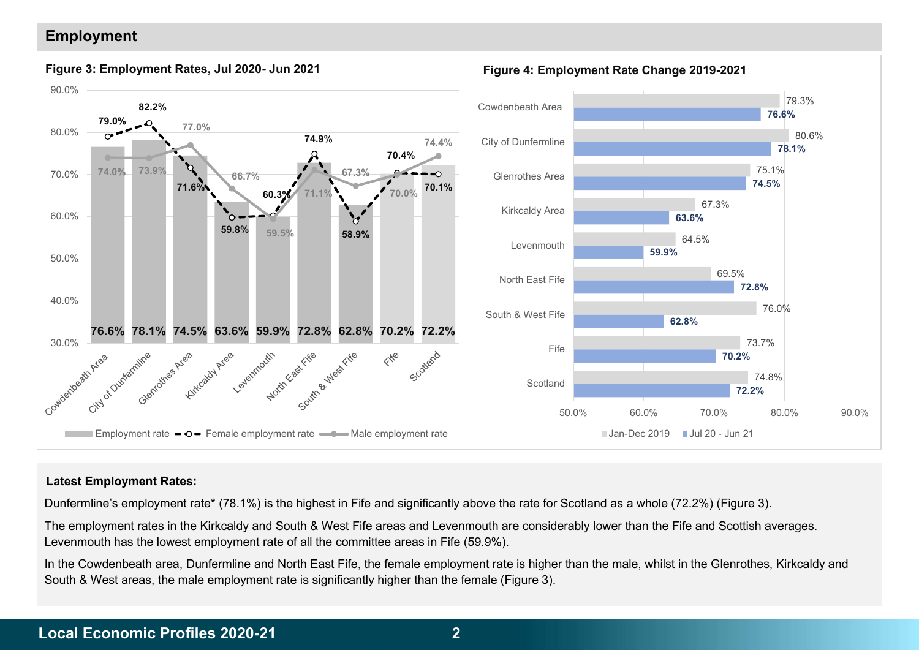### Employment



#### Latest Employment Rates:

Dunfermline's employment rate\* (78.1%) is the highest in Fife and significantly above the rate for Scotland as a whole (72.2%) (Figure 3).

The employment rates in the Kirkcaldy and South & West Fife areas and Levenmouth are considerably lower than the Fife and Scottish averages. Levenmouth has the lowest employment rate of all the committee areas in Fife (59.9%).

In the Cowdenbeath area, Dunfermline and North East Fife, the female employment rate is higher than the male, whilst in the Glenrothes, Kirkcaldy and South & West areas, the male employment rate is significantly higher than the female (Figure 3).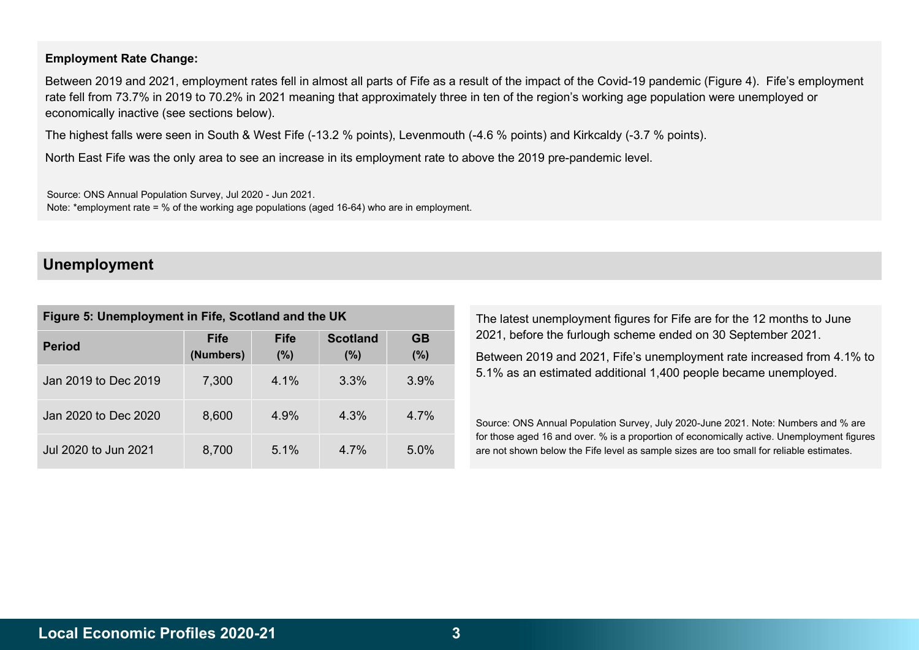#### Employment Rate Change:

Between 2019 and 2021, employment rates fell in almost all parts of Fife as a result of the impact of the Covid-19 pandemic (Figure 4). Fife's employment rate fell from 73.7% in 2019 to 70.2% in 2021 meaning that approximately three in ten of the region's working age population were unemployed or economically inactive (see sections below).

The highest falls were seen in South & West Fife (-13.2 % points), Levenmouth (-4.6 % points) and Kirkcaldy (-3.7 % points).

North East Fife was the only area to see an increase in its employment rate to above the 2019 pre-pandemic level.

Source: ONS Annual Population Survey, Jul 2020 - Jun 2021. Note: \*employment rate = % of the working age populations (aged 16-64) who are in employment.

### Unemployment

| Figure 5: Unemployment in Fife, Scotland and the UK |                          |                    |                        |                  |  |  |  |  |  |
|-----------------------------------------------------|--------------------------|--------------------|------------------------|------------------|--|--|--|--|--|
| <b>Period</b>                                       | <b>Fife</b><br>(Numbers) | <b>Fife</b><br>(%) | <b>Scotland</b><br>(%) | <b>GB</b><br>(%) |  |  |  |  |  |
| Jan 2019 to Dec 2019                                | 7,300                    | 4.1%               | 3.3%                   | 3.9%             |  |  |  |  |  |
| Jan 2020 to Dec 2020                                | 8,600                    | 4.9%               | 4.3%                   | 4 7%             |  |  |  |  |  |
| Jul 2020 to Jun 2021                                | 8,700                    | 5.1%               | 4 7%                   | $5.0\%$          |  |  |  |  |  |

The latest unemployment figures for Fife are for the 12 months to June 2021, before the furlough scheme ended on 30 September 2021.

Between 2019 and 2021, Fife's unemployment rate increased from 4.1% to 5.1% as an estimated additional 1,400 people became unemployed.

Source: ONS Annual Population Survey, July 2020-June 2021. Note: Numbers and % are for those aged 16 and over. % is a proportion of economically active. Unemployment figures are not shown below the Fife level as sample sizes are too small for reliable estimates.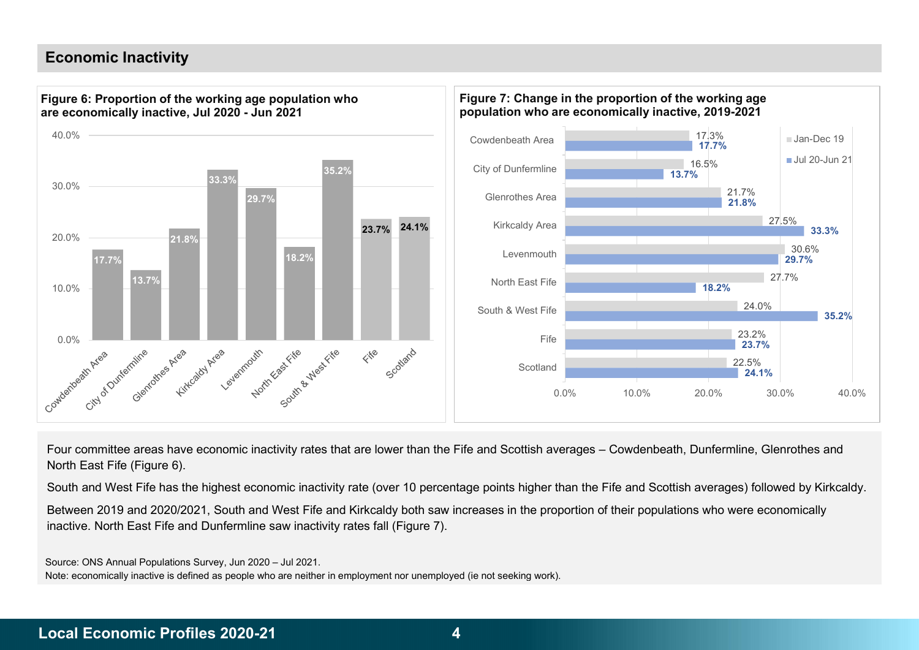### Economic Inactivity



Four committee areas have economic inactivity rates that are lower than the Fife and Scottish averages – Cowdenbeath, Dunfermline, Glenrothes and North East Fife (Figure 6).

South and West Fife has the highest economic inactivity rate (over 10 percentage points higher than the Fife and Scottish averages) followed by Kirkcaldy.

Between 2019 and 2020/2021, South and West Fife and Kirkcaldy both saw increases in the proportion of their populations who were economically inactive. North East Fife and Dunfermline saw inactivity rates fall (Figure 7).

Source: ONS Annual Populations Survey, Jun 2020 – Jul 2021.

Note: economically inactive is defined as people who are neither in employment nor unemployed (ie not seeking work).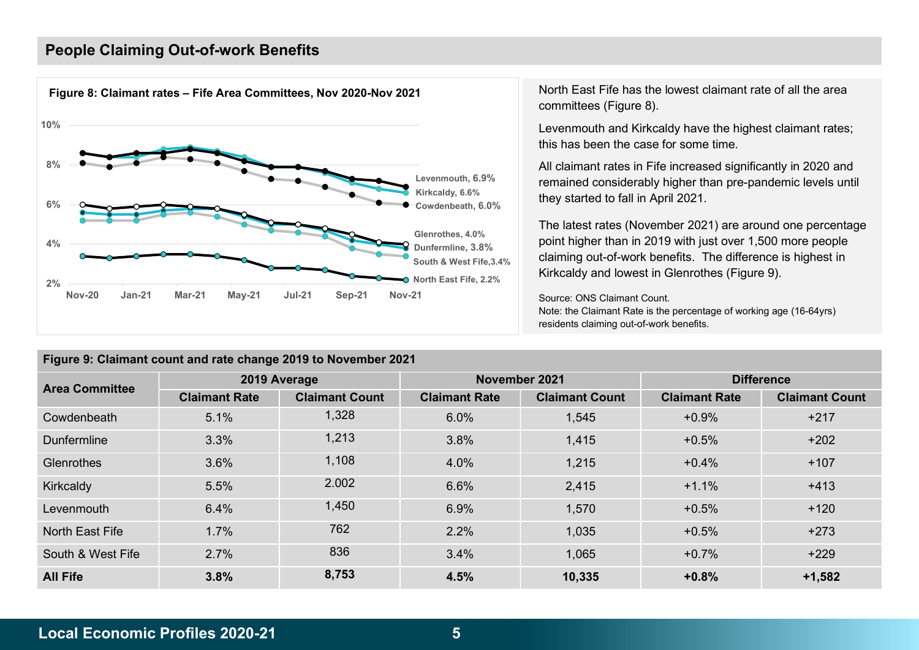### People Claiming Out-of-work Benefits



North East Fife has the lowest claimant rate of all the area committees (Figure 8).

Levenmouth and Kirkcaldy have the highest claimant rates; this has been the case for some time.

All claimant rates in Fife increased significantly in 2020 and Levenmouth, 6.9% remained considerably higher than pre-pandemic levels until Kirkcaldy, 6.6% **they started to fall in April 2021**.

The latest rates (November 2021) are around one percentage Glenrothes, 4.0% (Supposed to a point higher than in 2019 with just over 1,500 more people Dunfermline,  $3.8\%$ <br>South & West Fife  $3.4\%$  claiming out-of-work benefits. The difference is highest in North East Fife, 2.2% Kirkcaldy and lowest in Glenrothes (Figure 9). South & West Fife,3.4%

> Source: ONS Claimant Count. Note: the Claimant Rate is the percentage of working age (16-64yrs) residents claiming out-of-work benefits.

| <b>Area Committee</b> |                      | 2019 Average          |                      | November 2021         |                      | <b>Difference</b>     |  |  |  |  |  |  |  |  |  |  |
|-----------------------|----------------------|-----------------------|----------------------|-----------------------|----------------------|-----------------------|--|--|--|--|--|--|--|--|--|--|
|                       | <b>Claimant Rate</b> | <b>Claimant Count</b> | <b>Claimant Rate</b> | <b>Claimant Count</b> | <b>Claimant Rate</b> | <b>Claimant Count</b> |  |  |  |  |  |  |  |  |  |  |
| Cowdenbeath           | 5.1%                 | 1,328                 | 6.0%                 | 1,545                 | $+0.9%$              | $+217$                |  |  |  |  |  |  |  |  |  |  |
| <b>Dunfermline</b>    | 3.3%                 | 1,213                 | 3.8%                 | 1,415                 | $+0.5%$              | $+202$                |  |  |  |  |  |  |  |  |  |  |
| Glenrothes            | 3.6%                 | 1,108                 | 4.0%                 | 1,215                 | $+0.4%$              | $+107$                |  |  |  |  |  |  |  |  |  |  |
| Kirkcaldy             | 5.5%                 | 2.002                 | 6.6%                 | 2,415                 | $+1.1%$              | $+413$                |  |  |  |  |  |  |  |  |  |  |
| Levenmouth            | 6.4%                 | 1,450                 | 6.9%                 | 1,570                 | $+0.5%$              | $+120$                |  |  |  |  |  |  |  |  |  |  |
| North East Fife       | 1.7%                 | 762                   | 2.2%                 | 1,035                 | $+0.5%$              | $+273$                |  |  |  |  |  |  |  |  |  |  |
| South & West Fife     | 2.7%                 | 836                   | 3.4%                 | 1,065                 | $+0.7%$              | $+229$                |  |  |  |  |  |  |  |  |  |  |
| <b>All Fife</b>       | 3.8%                 | 8,753                 | 4.5%                 | 10,335                | $+0.8%$              | $+1,582$              |  |  |  |  |  |  |  |  |  |  |

### Figure 9: Claimant count and rate change 2019 to November 2021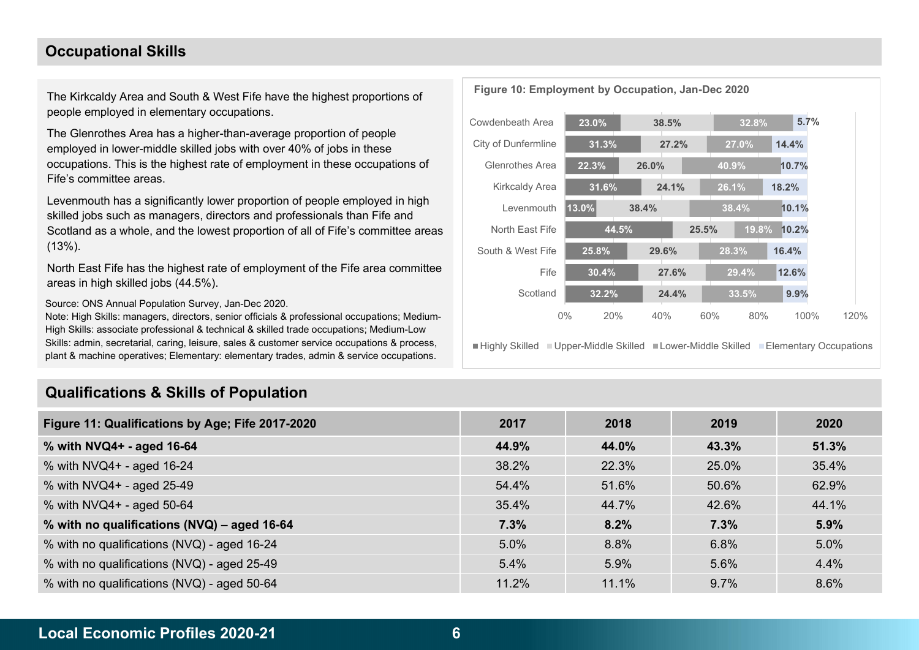### Occupational Skills

The Kirkcaldy Area and South & West Fife have the highest proportions of people employed in elementary occupations.

The Glenrothes Area has a higher-than-average proportion of people employed in lower-middle skilled jobs with over 40% of jobs in these occupations. This is the highest rate of employment in these occupations of Fife's committee areas.

Levenmouth has a significantly lower proportion of people employed in high skilled jobs such as managers, directors and professionals than Fife and Scotland as a whole, and the lowest proportion of all of Fife's committee areas (13%).

North East Fife has the highest rate of employment of the Fife area committee areas in high skilled jobs (44.5%).

Source: ONS Annual Population Survey, Jan-Dec 2020.

Note: High Skills: managers, directors, senior officials & professional occupations; Medium-High Skills: associate professional & technical & skilled trade occupations; Medium-Low Skills: admin, secretarial, caring, leisure, sales & customer service occupations & process, plant & machine operatives; Elementary: elementary trades, admin & service occupations.

### Qualifications & Skills of Population



■Highly Skilled ■ Upper-Middle Skilled ■ Lower-Middle Skilled ■ Elementary Occupations

| Figure 11: Qualifications by Age; Fife 2017-2020 | 2017  | 2018  | 2019    | 2020  |
|--------------------------------------------------|-------|-------|---------|-------|
| % with NVQ4+ - aged 16-64                        | 44.9% | 44.0% | 43.3%   | 51.3% |
| % with NVQ4+ - aged 16-24                        | 38.2% | 22.3% | 25.0%   | 35.4% |
| % with NVQ4+ - aged 25-49                        | 54.4% | 51.6% | 50.6%   | 62.9% |
| % with NVQ4+ - aged 50-64                        | 35.4% | 44.7% | 42.6%   | 44.1% |
| % with no qualifications (NVQ) - aged 16-64      | 7.3%  | 8.2%  | 7.3%    | 5.9%  |
| % with no qualifications (NVQ) - aged 16-24      | 5.0%  | 8.8%  | 6.8%    | 5.0%  |
| % with no qualifications (NVQ) - aged 25-49      | 5.4%  | 5.9%  | 5.6%    | 4.4%  |
| % with no qualifications (NVQ) - aged 50-64      | 11.2% | 11.1% | $9.7\%$ | 8.6%  |

Figure 10: Employment by Occupation, Jan-Dec 2020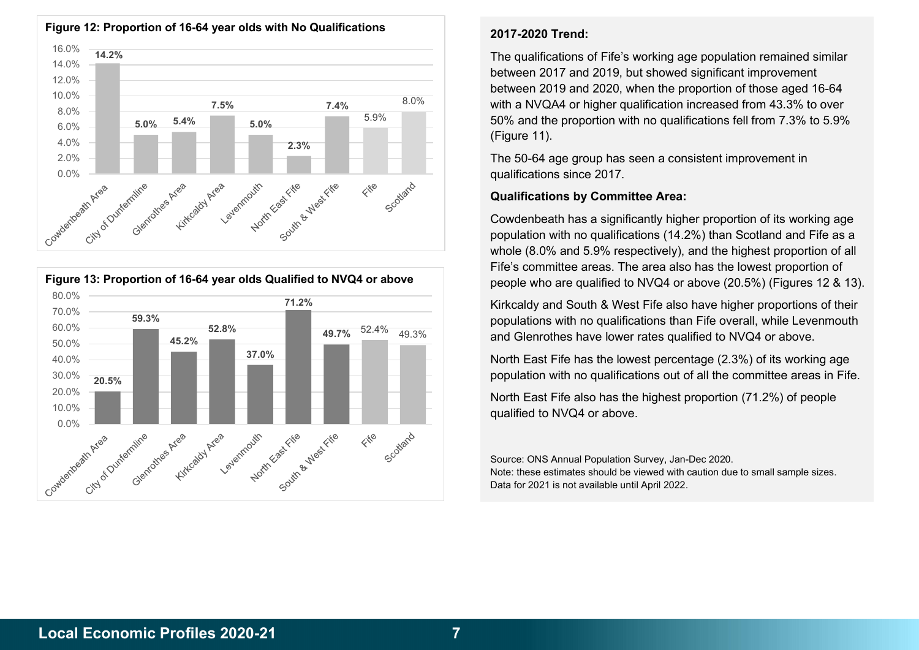

![](_page_6_Figure_1.jpeg)

#### Figure 12: Proportion of 16-64 year olds with No Qualifications

### 2017-2020 Trend:

7.5%  $7.5\%$   $7.4\%$   $8.0\%$  with a NVQA4 or higher qualification increased from 43.3% to over 5.0% 5.9% 50% and the proportion with no qualifications fell from 7.3% to 5.9% The qualifications of Fife's working age population remained similar between 2017 and 2019, but showed significant improvement between 2019 and 2020, when the proportion of those aged 16-64 (Figure 11).

> The 50-64 age group has seen a consistent improvement in qualifications since 2017.

### Qualifications by Committee Area:

Cowdenbeath has a significantly higher proportion of its working age population with no qualifications (14.2%) than Scotland and Fife as a whole (8.0% and 5.9% respectively), and the highest proportion of all Fife's committee areas. The area also has the lowest proportion of people who are qualified to NVQ4 or above (20.5%) (Figures 12 & 13).

71.2% Kirkcaldy and South & West Fife also have higher proportions of their 49.7% 52.4% 49.3% and Glenrothes have lower rates qualified to NVQ4 or above. populations with no qualifications than Fife overall, while Levenmouth

 $\frac{37.0\%}{27.0\%}$  and  $\frac{1}{27.0\%}$  and  $\frac{1}{27.0\%}$  are  $\frac{1}{27.0\%}$  and  $\frac{1}{27.0\%}$  and  $\frac{1}{27.0\%}$  are  $\frac{1}{27.0\%}$  and  $\frac{1}{27.0\%}$  and  $\frac{1}{27.0\%}$  are  $\frac{1}{27.0\%}$  and  $\frac{1}{27.0\%}$  and  $\frac{1}{2$ population with no qualifications out of all the committee areas in Fife.

> North East Fife also has the highest proportion (71.2%) of people qualified to NVQ4 or above.

> Source: ONS Annual Population Survey, Jan-Dec 2020. Note: these estimates should be viewed with caution due to small sample sizes. Data for 2021 is not available until April 2022.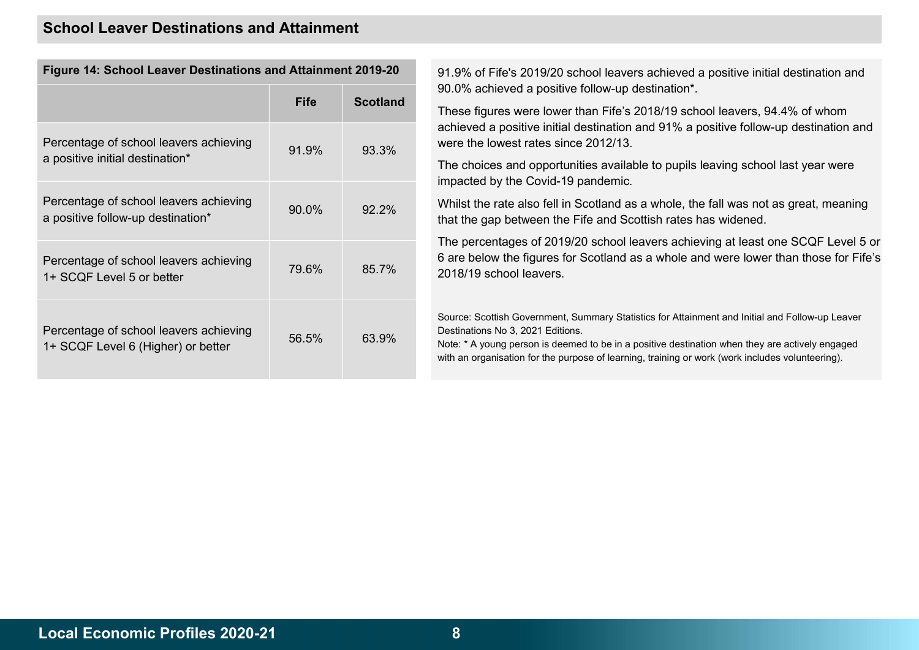### School Leaver Destinations and Attainment

| i iyult 17. Ochool Leaver Destinations and Attainment ZV IV-ZV               |             |                 |
|------------------------------------------------------------------------------|-------------|-----------------|
|                                                                              | <b>Fife</b> | <b>Scotland</b> |
| Percentage of school leavers achieving<br>a positive initial destination*    | 91.9%       | 93.3%           |
| Percentage of school leavers achieving<br>a positive follow-up destination*  | 90.0%       | $92.2\%$        |
| Percentage of school leavers achieving<br>1+ SCQF Level 5 or better          | 79.6%       | 85.7%           |
| Percentage of school leavers achieving<br>1+ SCQF Level 6 (Higher) or better | 56.5%       | 63.9%           |

Figure 14: School Leaver Destinations and Attainment 2019-20 91.9% of Fife's 2019/20 school leavers achieved a positive initial destination and 90.0% achieved a positive follow-up destination\*.

> These figures were lower than Fife's 2018/19 school leavers, 94.4% of whom achieved a positive initial destination and 91% a positive follow-up destination and were the lowest rates since 2012/13.

The choices and opportunities available to pupils leaving school last year were impacted by the Covid-19 pandemic.

Whilst the rate also fell in Scotland as a whole, the fall was not as great, meaning that the gap between the Fife and Scottish rates has widened.

The percentages of 2019/20 school leavers achieving at least one SCQF Level 5 or 6 are below the figures for Scotland as a whole and were lower than those for Fife's 2018/19 school leavers.

Source: Scottish Government, Summary Statistics for Attainment and Initial and Follow-up Leaver Destinations No 3, 2021 Editions.

Note: \* A young person is deemed to be in a positive destination when they are actively engaged with an organisation for the purpose of learning, training or work (work includes volunteering).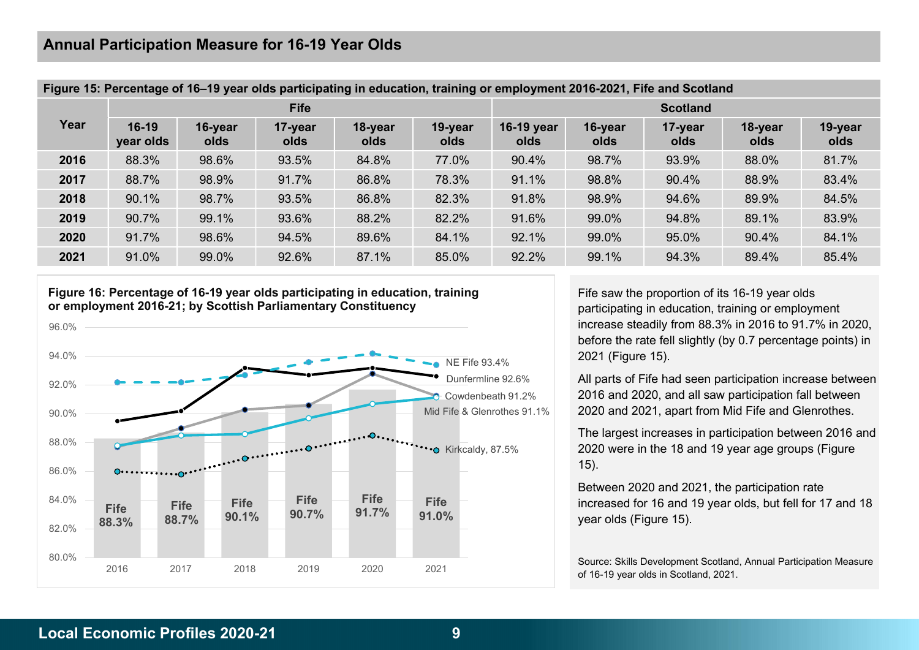| Figure 15: Percentage of 16–19 year olds participating in education, training or employment 2016-2021, Fife and Scotland |                      |                 |                 |                 |                 |                    |                 |                 |                 |                 |  |
|--------------------------------------------------------------------------------------------------------------------------|----------------------|-----------------|-----------------|-----------------|-----------------|--------------------|-----------------|-----------------|-----------------|-----------------|--|
|                                                                                                                          |                      |                 | <b>Fife</b>     |                 |                 | <b>Scotland</b>    |                 |                 |                 |                 |  |
| Year                                                                                                                     | $16-19$<br>year olds | 16-year<br>olds | 17-year<br>olds | 18-year<br>olds | 19-year<br>olds | 16-19 year<br>olds | 16-year<br>olds | 17-year<br>olds | 18-year<br>olds | 19-year<br>olds |  |
| 2016                                                                                                                     | 88.3%                | 98.6%           | 93.5%           | 84.8%           | 77.0%           | 90.4%              | 98.7%           | 93.9%           | 88.0%           | 81.7%           |  |
| 2017                                                                                                                     | 88.7%                | 98.9%           | 91.7%           | 86.8%           | 78.3%           | 91.1%              | 98.8%           | 90.4%           | 88.9%           | 83.4%           |  |
| 2018                                                                                                                     | 90.1%                | 98.7%           | 93.5%           | 86.8%           | 82.3%           | 91.8%              | 98.9%           | 94.6%           | 89.9%           | 84.5%           |  |
| 2019                                                                                                                     | 90.7%                | 99.1%           | 93.6%           | 88.2%           | 82.2%           | 91.6%              | 99.0%           | 94.8%           | 89.1%           | 83.9%           |  |
| 2020                                                                                                                     | 91.7%                | 98.6%           | 94.5%           | 89.6%           | 84.1%           | 92.1%              | 99.0%           | 95.0%           | 90.4%           | 84.1%           |  |
| 2021                                                                                                                     | 91.0%                | 99.0%           | 92.6%           | 87.1%           | 85.0%           | 92.2%              | 99.1%           | 94.3%           | 89.4%           | 85.4%           |  |

#### Figure 15: Percentage of 16–19 year olds participating in education, training or employment 2016-2021, Fife and Scotland

Figure 16: Percentage of 16-19 year olds participating in education, training or employment 2016-21; by Scottish Parliamentary Constituency

![](_page_8_Figure_4.jpeg)

Fife saw the proportion of its 16-19 year olds participating in education, training or employment increase steadily from 88.3% in 2016 to 91.7% in 2020, before the rate fell slightly (by 0.7 percentage points) in 2021 (Figure 15).

Dunfermline 92.6% **All parts of Fife had seen participation increase between** 2016 and 2020, and all saw participation fall between Cowdenbeath 91.2% 2020 and 2021, apart from Mid Fife and Glenrothes. The ME Fife 93.4%<br>
Dunfermline 92.6%<br>
Cowdenbeath 91.2%<br>
Mid Fife & Glenrothes 91.1%<br>
2020 and 2021, apart from Mid Fife and Glen

The largest increases in participation between 2016 and Kirkcaldy, 87.5% **2020** were in the 18 and 19 year age groups (Figure 15).

> Between 2020 and 2021, the participation rate increased for 16 and 19 year olds, but fell for 17 and 18

> Source: Skills Development Scotland, Annual Participation Measure of 16-19 year olds in Scotland, 2021.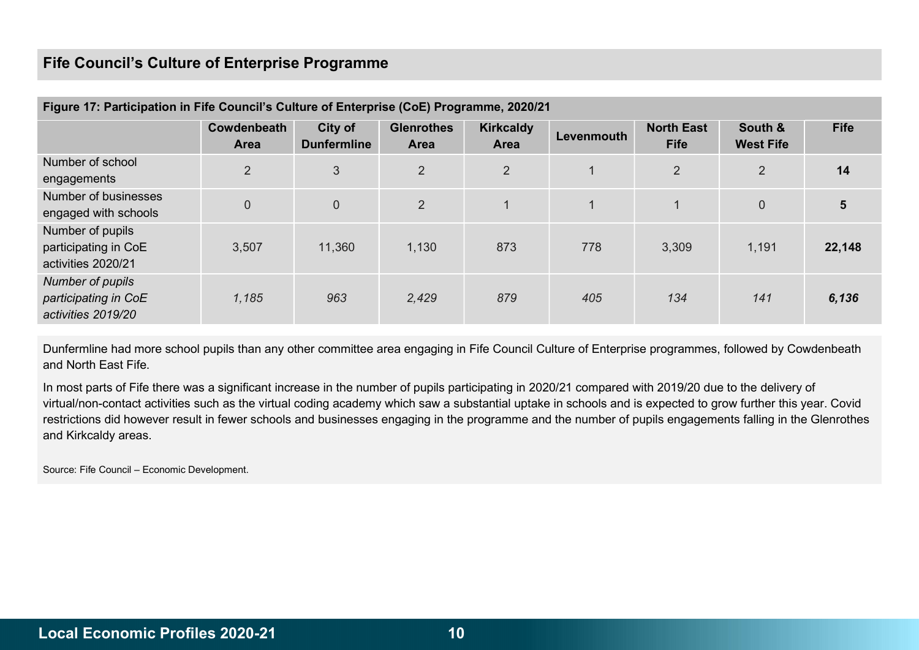### Fife Council's Culture of Enterprise Programme

| Figure 17: Participation in Fife Council's Culture of Enterprise (CoE) Programme, 2020/21 |                            |                               |                                  |                                 |              |                                  |                             |             |  |  |  |
|-------------------------------------------------------------------------------------------|----------------------------|-------------------------------|----------------------------------|---------------------------------|--------------|----------------------------------|-----------------------------|-------------|--|--|--|
|                                                                                           | Cowdenbeath<br><b>Area</b> | City of<br><b>Dunfermline</b> | <b>Glenrothes</b><br><b>Area</b> | <b>Kirkcaldy</b><br><b>Area</b> | Levenmouth   | <b>North East</b><br><b>Fife</b> | South &<br><b>West Fife</b> | <b>Fife</b> |  |  |  |
| Number of school<br>engagements                                                           | $\overline{2}$             | 3                             | $\overline{2}$                   | $\overline{2}$                  | $\mathbf{1}$ | 2                                | $\overline{2}$              | 14          |  |  |  |
| Number of businesses<br>engaged with schools                                              | $\overline{0}$             | $\overline{0}$                | $\overline{2}$                   |                                 |              |                                  | $\overline{0}$              | 5           |  |  |  |
| Number of pupils<br>participating in CoE<br>activities 2020/21                            | 3,507                      | 11,360                        | 1,130                            | 873                             | 778          | 3,309                            | 1,191                       | 22,148      |  |  |  |
| Number of pupils<br>participating in CoE<br>activities 2019/20                            | 1,185                      | 963                           | 2,429                            | 879                             | 405          | 134                              | 141                         | 6,136       |  |  |  |

Dunfermline had more school pupils than any other committee area engaging in Fife Council Culture of Enterprise programmes, followed by Cowdenbeath and North East Fife.

In most parts of Fife there was a significant increase in the number of pupils participating in 2020/21 compared with 2019/20 due to the delivery of virtual/non-contact activities such as the virtual coding academy which saw a substantial uptake in schools and is expected to grow further this year. Covid restrictions did however result in fewer schools and businesses engaging in the programme and the number of pupils engagements falling in the Glenrothes and Kirkcaldy areas.

Source: Fife Council – Economic Development.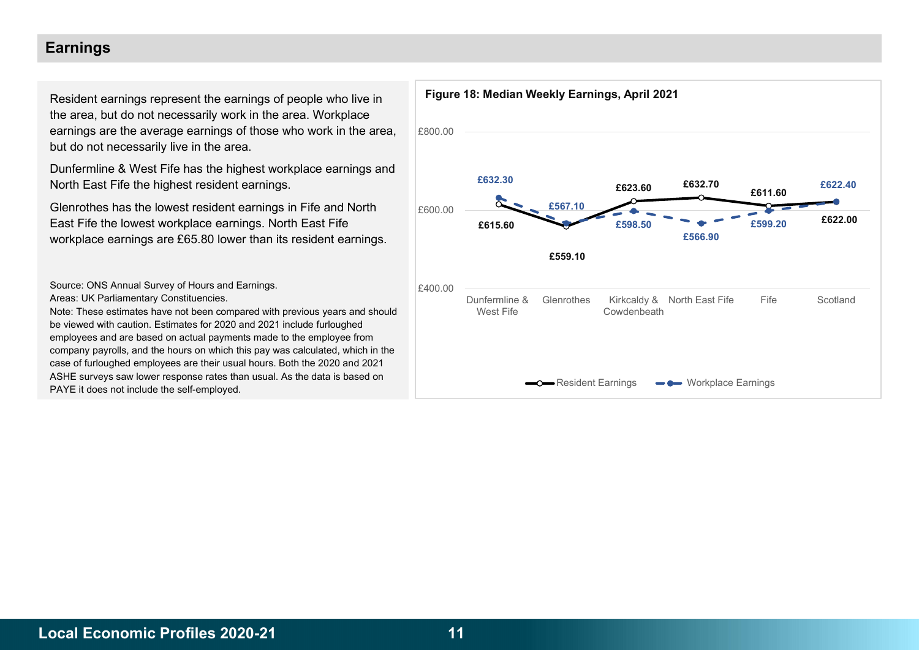### Earnings

Resident earnings represent the earnings of people who live in the area, but do not necessarily work in the area. Workplace earnings are the average earnings of those who work in the area, but do not necessarily live in the area.

Dunfermline & West Fife has the highest workplace earnings and North East Fife the highest resident earnings.

Glenrothes has the lowest resident earnings in Fife and North East Fife the lowest workplace earnings. North East Fife workplace earnings are £65.80 lower than its resident earnings.

Source: ONS Annual Survey of Hours and Earnings. Areas: UK Parliamentary Constituencies.

Note: These estimates have not been compared with previous years and should be viewed with caution. Estimates for 2020 and 2021 include furloughed employees and are based on actual payments made to the employee from company payrolls, and the hours on which this pay was calculated, which in the case of furloughed employees are their usual hours. Both the 2020 and 2021 ASHE surveys saw lower response rates than usual. As the data is based on PAYE it does not include the self-employed.

![](_page_10_Figure_6.jpeg)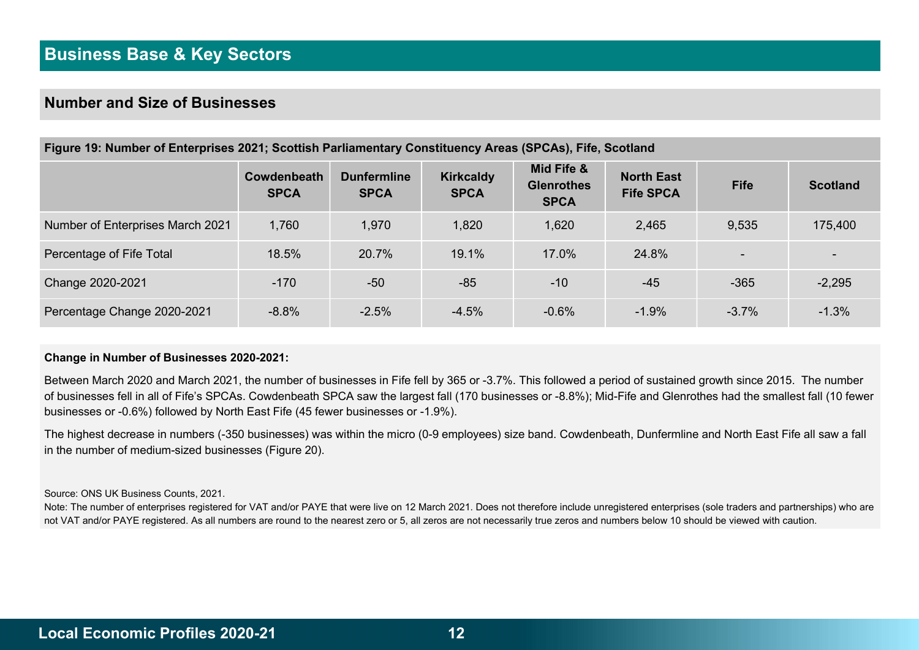### Number and Size of Businesses

| Figure 19: Number of Enterprises 2021; Scottish Parliamentary Constituency Areas (SPCAs), Fife, Scotland |                            |                                   |                                 |                                                |                                       |                          |                 |  |  |  |  |
|----------------------------------------------------------------------------------------------------------|----------------------------|-----------------------------------|---------------------------------|------------------------------------------------|---------------------------------------|--------------------------|-----------------|--|--|--|--|
|                                                                                                          | Cowdenbeath<br><b>SPCA</b> | <b>Dunfermline</b><br><b>SPCA</b> | <b>Kirkcaldy</b><br><b>SPCA</b> | Mid Fife &<br><b>Glenrothes</b><br><b>SPCA</b> | <b>North East</b><br><b>Fife SPCA</b> | <b>Fife</b>              | <b>Scotland</b> |  |  |  |  |
| Number of Enterprises March 2021                                                                         | 1,760                      | 1,970                             | 1,820                           | 1,620                                          | 2,465                                 | 9,535                    | 175,400         |  |  |  |  |
| Percentage of Fife Total                                                                                 | 18.5%                      | 20.7%                             | 19.1%                           | 17.0%                                          | 24.8%                                 | $\overline{\phantom{0}}$ |                 |  |  |  |  |
| Change 2020-2021                                                                                         | $-170$                     | $-50$                             | $-85$                           | $-10$                                          | $-45$                                 | $-365$                   | $-2,295$        |  |  |  |  |
| Percentage Change 2020-2021                                                                              | $-8.8%$                    | $-2.5%$                           | $-4.5%$                         | $-0.6%$                                        | $-1.9%$                               | $-3.7%$                  | $-1.3%$         |  |  |  |  |

#### Change in Number of Businesses 2020-2021:

Between March 2020 and March 2021, the number of businesses in Fife fell by 365 or -3.7%. This followed a period of sustained growth since 2015. The number of businesses fell in all of Fife's SPCAs. Cowdenbeath SPCA saw the largest fall (170 businesses or -8.8%); Mid-Fife and Glenrothes had the smallest fall (10 fewer businesses or -0.6%) followed by North East Fife (45 fewer businesses or -1.9%).

The highest decrease in numbers (-350 businesses) was within the micro (0-9 employees) size band. Cowdenbeath, Dunfermline and North East Fife all saw a fall in the number of medium-sized businesses (Figure 20).

Source: ONS UK Business Counts, 2021.

Note: The number of enterprises registered for VAT and/or PAYE that were live on 12 March 2021. Does not therefore include unregistered enterprises (sole traders and partnerships) who are not VAT and/or PAYE registered. As all numbers are round to the nearest zero or 5, all zeros are not necessarily true zeros and numbers below 10 should be viewed with caution.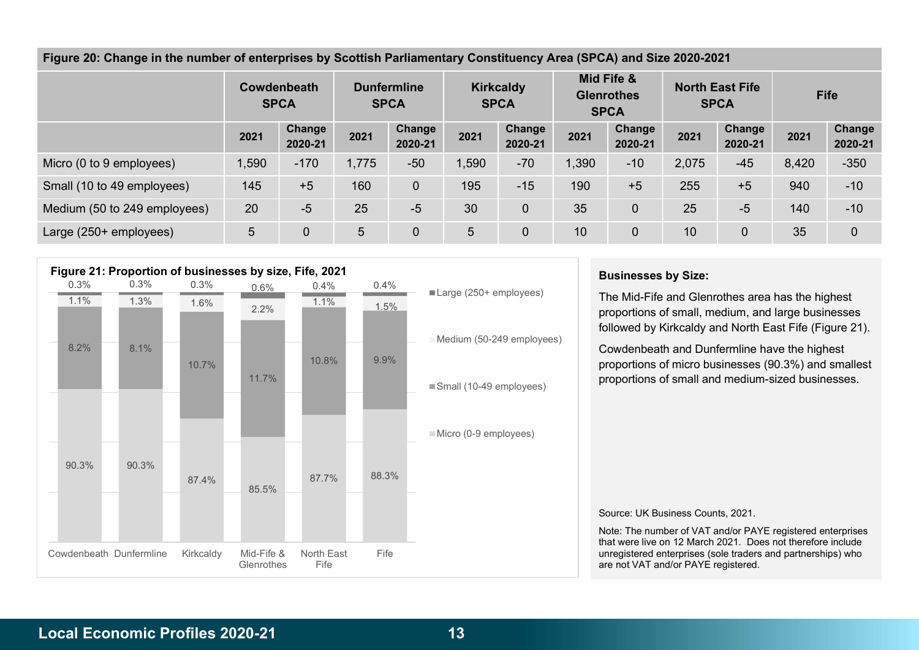Figure 20: Change in the number of enterprises by Scottish Parliamentary Constituency Area (SPCA) and Size 2020-2021

|                              | Cowdenbeath<br><b>SPCA</b> |                          | <b>Dunfermline</b><br><b>SPCA</b> |                          | <b>Kirkcaldy</b><br><b>SPCA</b> |                   | Mid Fife &<br><b>Glenrothes</b><br><b>SPCA</b> |                          | <b>North East Fife</b><br><b>SPCA</b> |                   | <b>Fife</b> |                   |
|------------------------------|----------------------------|--------------------------|-----------------------------------|--------------------------|---------------------------------|-------------------|------------------------------------------------|--------------------------|---------------------------------------|-------------------|-------------|-------------------|
|                              | 2021                       | <b>Change</b><br>2020-21 | 2021                              | <b>Change</b><br>2020-21 | 2021                            | Change<br>2020-21 | 2021                                           | <b>Change</b><br>2020-21 | 2021                                  | Change<br>2020-21 | 2021        | Change<br>2020-21 |
| Micro (0 to 9 employees)     | 1,590                      | $-170$                   | 1,775                             | $-50$                    | 1,590                           | $-70$             | 1,390                                          | $-10$                    | 2,075                                 | $-45$             | 8,420       | $-350$            |
| Small (10 to 49 employees)   | 145                        | $+5$                     | 160                               | $\theta$                 | 195                             | $-15$             | 190                                            | $+5$                     | 255                                   | $+5$              | 940         | $-10$             |
| Medium (50 to 249 employees) | 20                         | $-5$                     | 25                                | $-5$                     | 30                              | $\mathbf 0$       | 35                                             | 0                        | 25                                    | $-5$              | 140         | $-10$             |
| Large (250+ employees)       | 5                          | 0                        | 5                                 | $\mathbf 0$              | 5                               | $\overline{0}$    | 10                                             | $\mathbf 0$              | 10                                    |                   | 35          | $\mathbf 0$       |

![](_page_12_Figure_2.jpeg)

#### Businesses by Size:

1.1% 1.5% proportions of small, medium, and large businesses The Mid-Fife and Glenrothes area has the highest followed by Kirkcaldy and North East Fife (Figure 21).

10.8% 9.9% proportions of micro businesses (90.3%) and smallest Cowdenbeath and Dunfermline have the highest proportions of small and medium-sized businesses.

Source: UK Business Counts, 2021.

Note: The number of VAT and/or PAYE registered enterprises that were live on 12 March 2021. Does not therefore include unregistered enterprises (sole traders and partnerships) who are not VAT and/or PAYE registered.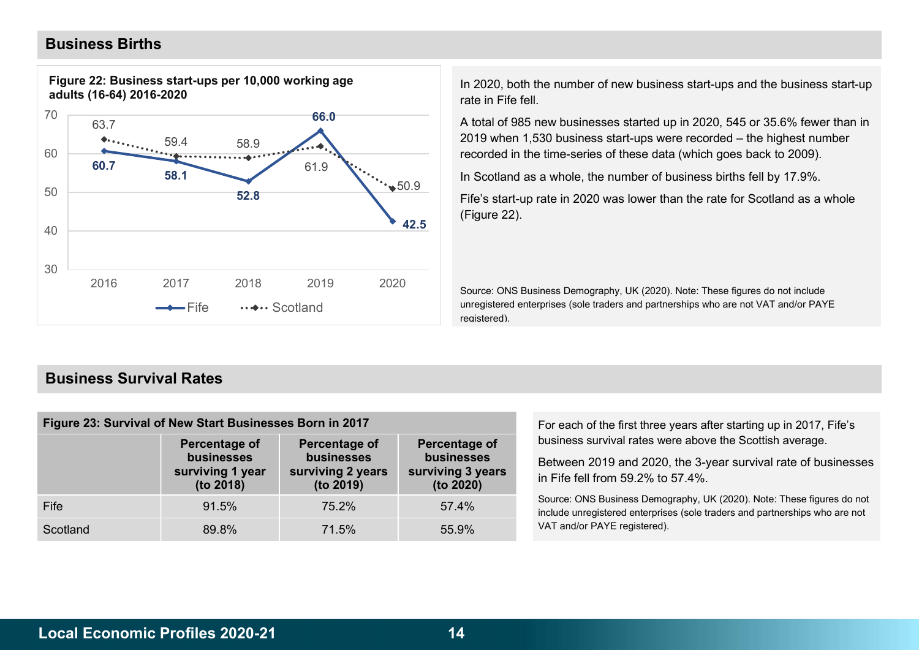### Business Births

![](_page_13_Figure_1.jpeg)

Figure 22: Business start-ups per 10,000 working age adults (16-64) 2016-2020

In 2020, both the number of new business start-ups and the business start-up rate in Fife fell.

A total of 985 new businesses started up in 2020, 545 or 35.6% fewer than in 66.0 2019 when 1,530 business start-ups were recorded – the highest number recorded in the time-series of these data (which goes back to 2009).

In Scotland as a whole, the number of business births fell by 17.9%.

Fife's start-up rate in 2020 was lower than the rate for Scotland as a whole (Figure 22).

Source: ONS Business Demography, UK (2020). Note: These figures do not include unregistered enterprises (sole traders and partnerships who are not VAT and/or PAYE registered).

### Business Survival Rates

| Figure 23: Survival of New Start Businesses Born in 2017 |                                                              |                                                                      |                                                               |  |  |  |  |  |  |
|----------------------------------------------------------|--------------------------------------------------------------|----------------------------------------------------------------------|---------------------------------------------------------------|--|--|--|--|--|--|
|                                                          | Percentage of<br>businesses<br>surviving 1 year<br>(to 2018) | <b>Percentage of</b><br>businesses<br>surviving 2 years<br>(to 2019) | Percentage of<br>businesses<br>surviving 3 years<br>(to 2020) |  |  |  |  |  |  |
| Fife                                                     | 91.5%                                                        | 75.2%                                                                | 57.4%                                                         |  |  |  |  |  |  |
| Scotland                                                 | 89.8%                                                        | 71.5%                                                                | 55.9%                                                         |  |  |  |  |  |  |

For each of the first three years after starting up in 2017, Fife's business survival rates were above the Scottish average.

Between 2019 and 2020, the 3-year survival rate of businesses in Fife fell from 59.2% to 57.4%.

Source: ONS Business Demography, UK (2020). Note: These figures do not include unregistered enterprises (sole traders and partnerships who are not VAT and/or PAYE registered).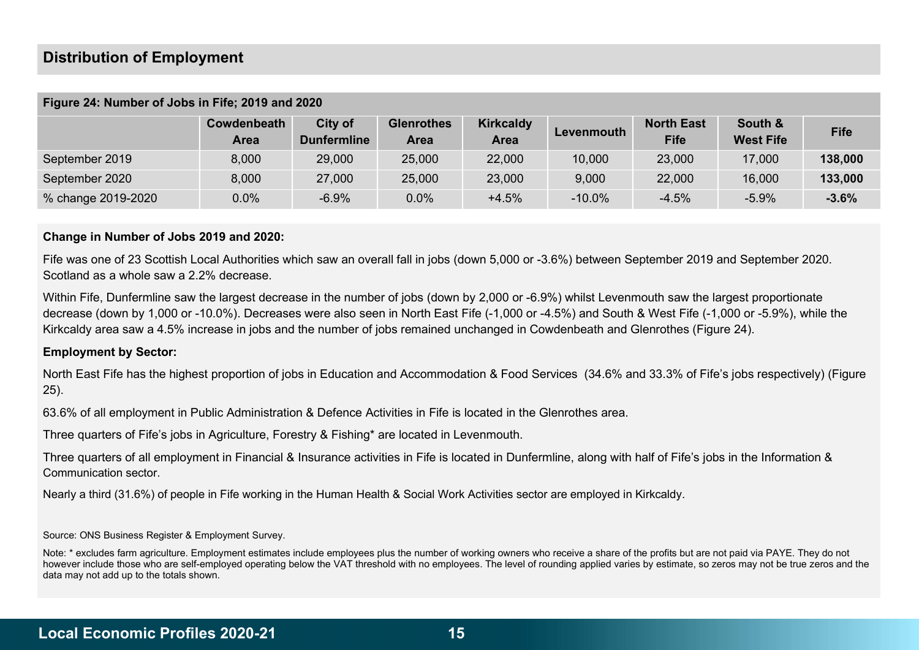### Distribution of Employment

|                    | Cowdenbeath<br>Area | City of<br><b>Dunfermline</b> | <b>Glenrothes</b><br><b>Area</b> | <b>Kirkcaldy</b><br>Area | Levenmouth | <b>North East</b><br><b>Fife</b> | South &<br><b>West Fife</b> | <b>Fife</b> |
|--------------------|---------------------|-------------------------------|----------------------------------|--------------------------|------------|----------------------------------|-----------------------------|-------------|
| September 2019     | 8,000               | 29,000                        | 25,000                           | 22,000                   | 10,000     | 23,000                           | 17,000                      | 138,000     |
| September 2020     | 8,000               | 27,000                        | 25,000                           | 23,000                   | 9,000      | 22,000                           | 16,000                      | 133,000     |
| % change 2019-2020 | 0.0%                | $-6.9%$                       | 0.0%                             | $+4.5%$                  | $-10.0\%$  | $-4.5%$                          | $-5.9%$                     | $-3.6%$     |

#### Figure 24: Number of Jobs in Fife; 2019 and 2020

#### Change in Number of Jobs 2019 and 2020:

Fife was one of 23 Scottish Local Authorities which saw an overall fall in jobs (down 5,000 or -3.6%) between September 2019 and September 2020. Scotland as a whole saw a 2.2% decrease.

Within Fife, Dunfermline saw the largest decrease in the number of jobs (down by 2,000 or -6.9%) whilst Levenmouth saw the largest proportionate decrease (down by 1,000 or -10.0%). Decreases were also seen in North East Fife (-1,000 or -4.5%) and South & West Fife (-1,000 or -5.9%), while the Kirkcaldy area saw a 4.5% increase in jobs and the number of jobs remained unchanged in Cowdenbeath and Glenrothes (Figure 24).

#### Employment by Sector:

North East Fife has the highest proportion of jobs in Education and Accommodation & Food Services (34.6% and 33.3% of Fife's jobs respectively) (Figure 25).

63.6% of all employment in Public Administration & Defence Activities in Fife is located in the Glenrothes area.

Three quarters of Fife's jobs in Agriculture, Forestry & Fishing\* are located in Levenmouth.

Three quarters of all employment in Financial & Insurance activities in Fife is located in Dunfermline, along with half of Fife's jobs in the Information & Communication sector.

Nearly a third (31.6%) of people in Fife working in the Human Health & Social Work Activities sector are employed in Kirkcaldy.

Source: ONS Business Register & Employment Survey.

Note: \* excludes farm agriculture. Employment estimates include employees plus the number of working owners who receive a share of the profits but are not paid via PAYE. They do not however include those who are self-employed operating below the VAT threshold with no employees. The level of rounding applied varies by estimate, so zeros may not be true zeros and the data may not add up to the totals shown.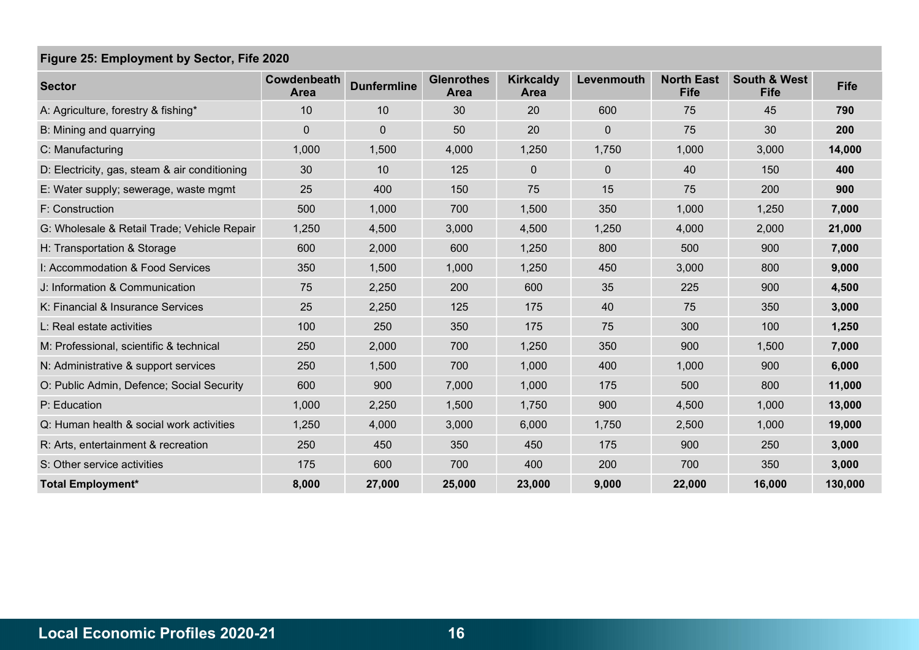### Figure 25: Employment by Sector, Fife 2020

| <b>Sector</b>                                 | Cowdenbeath<br><b>Area</b> | <b>Dunfermline</b> | <b>Glenrothes</b><br><b>Area</b> | <b>Kirkcaldy</b><br>Area | Levenmouth  | <b>North East</b><br><b>Fife</b> | <b>South &amp; West</b><br><b>Fife</b> | <b>Fife</b> |
|-----------------------------------------------|----------------------------|--------------------|----------------------------------|--------------------------|-------------|----------------------------------|----------------------------------------|-------------|
| A: Agriculture, forestry & fishing*           | 10                         | 10                 | 30                               | 20                       | 600         | 75                               | 45                                     | 790         |
| B: Mining and quarrying                       | 0                          | $\mathbf 0$        | 50                               | 20                       | $\mathbf 0$ | 75                               | 30                                     | 200         |
| C: Manufacturing                              | 1,000                      | 1,500              | 4,000                            | 1,250                    | 1,750       | 1,000                            | 3,000                                  | 14,000      |
| D: Electricity, gas, steam & air conditioning | 30                         | 10                 | 125                              | 0                        | $\mathbf 0$ | 40                               | 150                                    | 400         |
| E: Water supply; sewerage, waste mgmt         | 25                         | 400                | 150                              | 75                       | 15          | 75                               | 200                                    | 900         |
| F: Construction                               | 500                        | 1,000              | 700                              | 1,500                    | 350         | 1,000                            | 1,250                                  | 7,000       |
| G: Wholesale & Retail Trade; Vehicle Repair   | 1,250                      | 4,500              | 3,000                            | 4,500                    | 1,250       | 4,000                            | 2,000                                  | 21,000      |
| H: Transportation & Storage                   | 600                        | 2,000              | 600                              | 1,250                    | 800         | 500                              | 900                                    | 7,000       |
| I: Accommodation & Food Services              | 350                        | 1,500              | 1,000                            | 1,250                    | 450         | 3,000                            | 800                                    | 9,000       |
| J: Information & Communication                | 75                         | 2,250              | 200                              | 600                      | 35          | 225                              | 900                                    | 4,500       |
| K: Financial & Insurance Services             | 25                         | 2,250              | 125                              | 175                      | 40          | 75                               | 350                                    | 3,000       |
| L: Real estate activities                     | 100                        | 250                | 350                              | 175                      | 75          | 300                              | 100                                    | 1,250       |
| M: Professional, scientific & technical       | 250                        | 2,000              | 700                              | 1,250                    | 350         | 900                              | 1,500                                  | 7,000       |
| N: Administrative & support services          | 250                        | 1,500              | 700                              | 1,000                    | 400         | 1,000                            | 900                                    | 6,000       |
| O: Public Admin, Defence; Social Security     | 600                        | 900                | 7,000                            | 1,000                    | 175         | 500                              | 800                                    | 11,000      |
| P: Education                                  | 1,000                      | 2,250              | 1,500                            | 1,750                    | 900         | 4,500                            | 1,000                                  | 13,000      |
| Q: Human health & social work activities      | 1,250                      | 4,000              | 3,000                            | 6,000                    | 1,750       | 2,500                            | 1,000                                  | 19,000      |
| R: Arts, entertainment & recreation           | 250                        | 450                | 350                              | 450                      | 175         | 900                              | 250                                    | 3,000       |
| S: Other service activities                   | 175                        | 600                | 700                              | 400                      | 200         | 700                              | 350                                    | 3,000       |
| <b>Total Employment*</b>                      | 8,000                      | 27,000             | 25,000                           | 23,000                   | 9,000       | 22,000                           | 16,000                                 | 130,000     |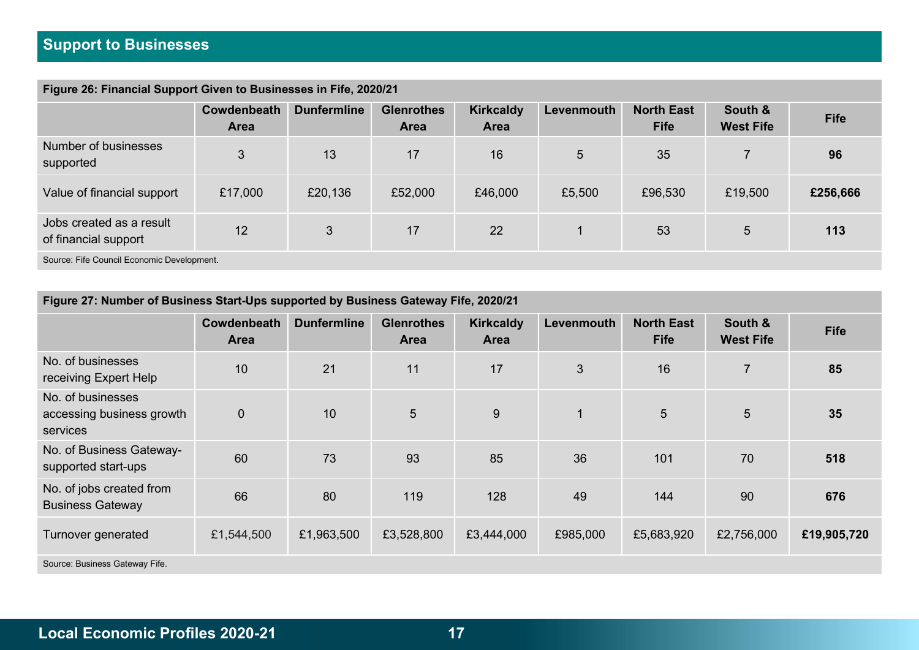### Figure 26: Financial Support Given to Businesses in Fife, 2020/21

| . .                                              |                            |                    |                                  |                          |            |                                  |                             |             |
|--------------------------------------------------|----------------------------|--------------------|----------------------------------|--------------------------|------------|----------------------------------|-----------------------------|-------------|
|                                                  | Cowdenbeath<br><b>Area</b> | <b>Dunfermline</b> | <b>Glenrothes</b><br><b>Area</b> | <b>Kirkcaldy</b><br>Area | Levenmouth | <b>North East</b><br><b>Fife</b> | South &<br><b>West Fife</b> | <b>Fife</b> |
| Number of businesses<br>supported                | 3                          | 13                 | 17                               | 16                       | 5          | 35                               |                             | 96          |
| Value of financial support                       | £17,000                    | £20,136            | £52,000                          | £46,000                  | £5,500     | £96,530                          | £19,500                     | £256,666    |
| Jobs created as a result<br>of financial support | 12                         | 3                  | 17                               | 22                       |            | 53                               | 5                           | 113         |
| Source: Fife Council Economic Development.       |                            |                    |                                  |                          |            |                                  |                             |             |

| Figure 27: Number of Business Start-Ups supported by Business Gateway Fife, 2020/21 |                            |                    |                                  |                                 |            |                                  |                             |             |
|-------------------------------------------------------------------------------------|----------------------------|--------------------|----------------------------------|---------------------------------|------------|----------------------------------|-----------------------------|-------------|
|                                                                                     | Cowdenbeath<br><b>Area</b> | <b>Dunfermline</b> | <b>Glenrothes</b><br><b>Area</b> | <b>Kirkcaldy</b><br><b>Area</b> | Levenmouth | <b>North East</b><br><b>Fife</b> | South &<br><b>West Fife</b> | <b>Fife</b> |
| No. of businesses<br>receiving Expert Help                                          | 10                         | 21                 | 11                               | 17                              | 3          | 16                               | $\overline{7}$              | 85          |
| No. of businesses<br>accessing business growth<br>services                          | $\overline{0}$             | 10                 | $5\overline{)}$                  | 9                               |            | 5                                | $5\overline{)}$             | 35          |
| No. of Business Gateway-<br>supported start-ups                                     | 60                         | 73                 | 93                               | 85                              | 36         | 101                              | 70                          | 518         |
| No. of jobs created from<br><b>Business Gateway</b>                                 | 66                         | 80                 | 119                              | 128                             | 49         | 144                              | 90                          | 676         |
| Turnover generated                                                                  | £1,544,500                 | £1,963,500         | £3,528,800                       | £3,444,000                      | £985,000   | £5,683,920                       | £2,756,000                  | £19,905,720 |
| Source: Business Gateway Fife.                                                      |                            |                    |                                  |                                 |            |                                  |                             |             |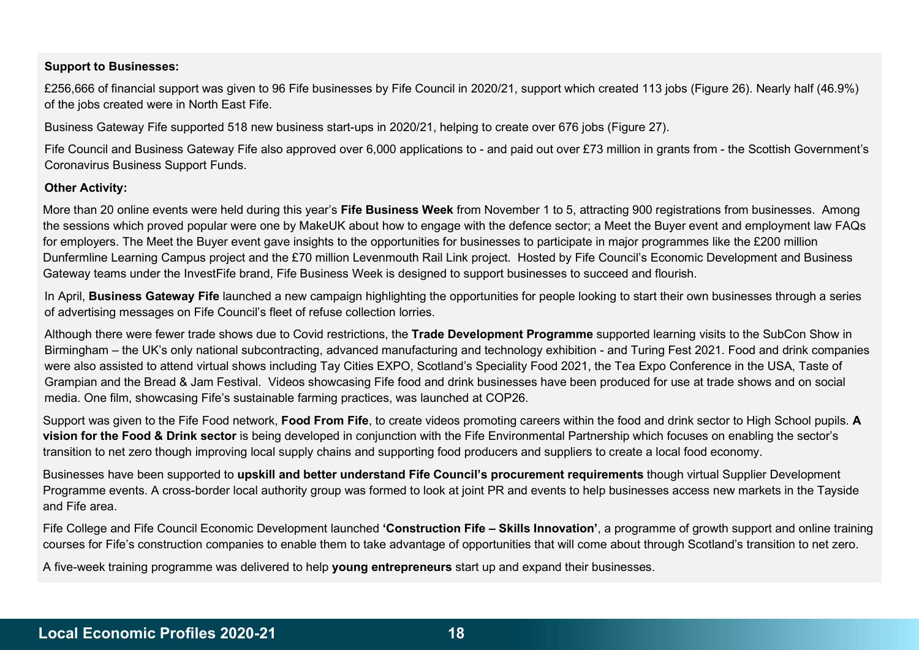### Support to Businesses:

£256,666 of financial support was given to 96 Fife businesses by Fife Council in 2020/21, support which created 113 jobs (Figure 26). Nearly half (46.9%) of the jobs created were in North East Fife.

Business Gateway Fife supported 518 new business start-ups in 2020/21, helping to create over 676 jobs (Figure 27).

Fife Council and Business Gateway Fife also approved over 6,000 applications to - and paid out over £73 million in grants from - the Scottish Government's Coronavirus Business Support Funds.

### Other Activity:

More than 20 online events were held during this year's Fife Business Week from November 1 to 5, attracting 900 registrations from businesses. Among the sessions which proved popular were one by MakeUK about how to engage with the defence sector; a Meet the Buyer event and employment law FAQs for employers. The Meet the Buyer event gave insights to the opportunities for businesses to participate in major programmes like the £200 million Dunfermline Learning Campus project and the £70 million Levenmouth Rail Link project. Hosted by Fife Council's Economic Development and Business Gateway teams under the InvestFife brand, Fife Business Week is designed to support businesses to succeed and flourish.

In April, Business Gateway Fife launched a new campaign highlighting the opportunities for people looking to start their own businesses through a series of advertising messages on Fife Council's fleet of refuse collection lorries.

Although there were fewer trade shows due to Covid restrictions, the Trade Development Programme supported learning visits to the SubCon Show in Birmingham – the UK's only national subcontracting, advanced manufacturing and technology exhibition - and Turing Fest 2021. Food and drink companies were also assisted to attend virtual shows including Tay Cities EXPO, Scotland's Speciality Food 2021, the Tea Expo Conference in the USA, Taste of Grampian and the Bread & Jam Festival. Videos showcasing Fife food and drink businesses have been produced for use at trade shows and on social media. One film, showcasing Fife's sustainable farming practices, was launched at COP26.

Support was given to the Fife Food network, Food From Fife, to create videos promoting careers within the food and drink sector to High School pupils. A vision for the Food & Drink sector is being developed in conjunction with the Fife Environmental Partnership which focuses on enabling the sector's transition to net zero though improving local supply chains and supporting food producers and suppliers to create a local food economy.

Businesses have been supported to upskill and better understand Fife Council's procurement requirements though virtual Supplier Development Programme events. A cross-border local authority group was formed to look at joint PR and events to help businesses access new markets in the Tayside and Fife area.

Fife College and Fife Council Economic Development launched 'Construction Fife - Skills Innovation', a programme of growth support and online training courses for Fife's construction companies to enable them to take advantage of opportunities that will come about through Scotland's transition to net zero.

A five-week training programme was delivered to help young entrepreneurs start up and expand their businesses.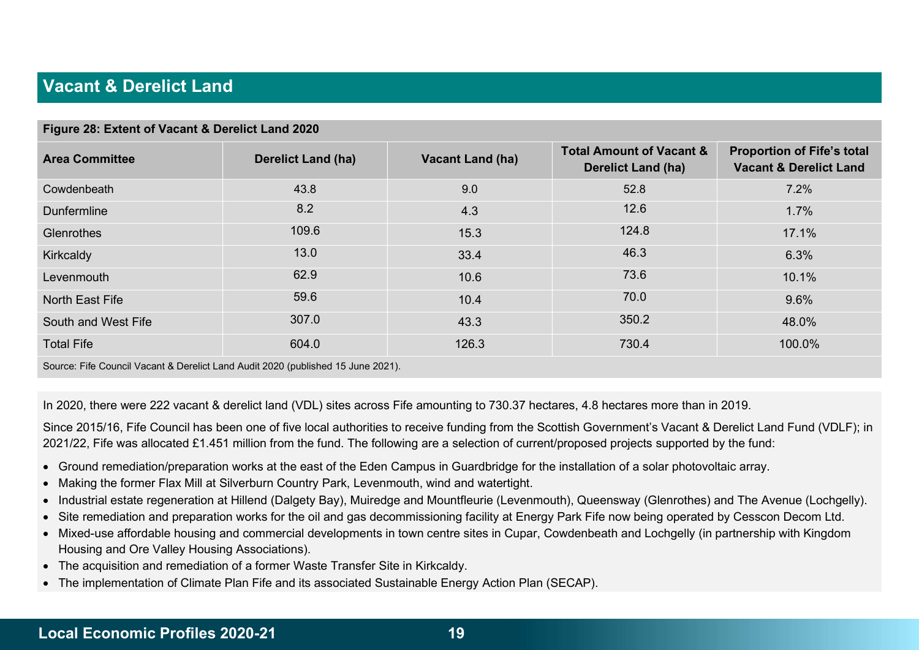# Vacant & Derelict Land

| Figure 28: Extent of Vacant & Derelict Land 2020                                 |                           |                         |                                                                  |                                                                        |  |  |  |  |
|----------------------------------------------------------------------------------|---------------------------|-------------------------|------------------------------------------------------------------|------------------------------------------------------------------------|--|--|--|--|
| <b>Area Committee</b>                                                            | <b>Derelict Land (ha)</b> | <b>Vacant Land (ha)</b> | <b>Total Amount of Vacant &amp;</b><br><b>Derelict Land (ha)</b> | <b>Proportion of Fife's total</b><br><b>Vacant &amp; Derelict Land</b> |  |  |  |  |
| Cowdenbeath                                                                      | 43.8                      | 9.0                     | 52.8                                                             | 7.2%                                                                   |  |  |  |  |
| <b>Dunfermline</b>                                                               | 8.2                       | 4.3                     | 12.6                                                             | 1.7%                                                                   |  |  |  |  |
| Glenrothes                                                                       | 109.6                     | 15.3                    | 124.8                                                            | 17.1%                                                                  |  |  |  |  |
| Kirkcaldy                                                                        | 13.0                      | 33.4                    | 46.3                                                             | 6.3%                                                                   |  |  |  |  |
| Levenmouth                                                                       | 62.9                      | 10.6                    | 73.6                                                             | 10.1%                                                                  |  |  |  |  |
| North East Fife                                                                  | 59.6                      | 10.4                    | 70.0                                                             | 9.6%                                                                   |  |  |  |  |
| South and West Fife                                                              | 307.0                     | 43.3                    | 350.2                                                            | 48.0%                                                                  |  |  |  |  |
| <b>Total Fife</b>                                                                | 604.0                     | 126.3                   | 730.4                                                            | 100.0%                                                                 |  |  |  |  |
| Source: Fife Council Vacant & Derelict Land Audit 2020 (published 15 June 2021). |                           |                         |                                                                  |                                                                        |  |  |  |  |

In 2020, there were 222 vacant & derelict land (VDL) sites across Fife amounting to 730.37 hectares, 4.8 hectares more than in 2019.

Since 2015/16, Fife Council has been one of five local authorities to receive funding from the Scottish Government's Vacant & Derelict Land Fund (VDLF); in 2021/22, Fife was allocated £1.451 million from the fund. The following are a selection of current/proposed projects supported by the fund:

- Ground remediation/preparation works at the east of the Eden Campus in Guardbridge for the installation of a solar photovoltaic array.
- Making the former Flax Mill at Silverburn Country Park, Levenmouth, wind and watertight.
- Industrial estate regeneration at Hillend (Dalgety Bay), Muiredge and Mountfleurie (Levenmouth), Queensway (Glenrothes) and The Avenue (Lochgelly).
- Site remediation and preparation works for the oil and gas decommissioning facility at Energy Park Fife now being operated by Cesscon Decom Ltd.
- Mixed-use affordable housing and commercial developments in town centre sites in Cupar, Cowdenbeath and Lochgelly (in partnership with Kingdom Housing and Ore Valley Housing Associations).
- The acquisition and remediation of a former Waste Transfer Site in Kirkcaldy.
- The implementation of Climate Plan Fife and its associated Sustainable Energy Action Plan (SECAP).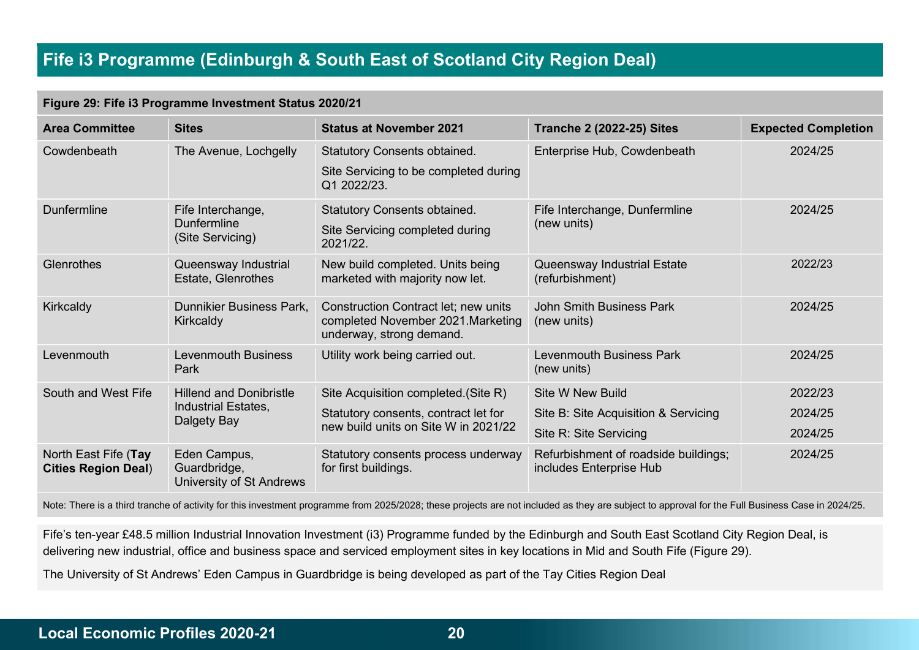# Fife i3 Programme (Edinburgh & South East of Scotland City Region Deal)

|  |  |  |  | Figure 29: Fife i3 Programme Investment Status 2020/21 |
|--|--|--|--|--------------------------------------------------------|
|--|--|--|--|--------------------------------------------------------|

| <b>Area Committee</b>                              | <b>Sites</b>                                                | <b>Status at November 2021</b>                                                                                | <b>Tranche 2 (2022-25) Sites</b>                                | <b>Expected Completion</b> |
|----------------------------------------------------|-------------------------------------------------------------|---------------------------------------------------------------------------------------------------------------|-----------------------------------------------------------------|----------------------------|
| Cowdenbeath                                        | The Avenue, Lochgelly                                       | <b>Statutory Consents obtained.</b><br>Site Servicing to be completed during<br>Q1 2022/23.                   | Enterprise Hub, Cowdenbeath                                     | 2024/25                    |
| Dunfermline                                        | Fife Interchange,<br><b>Dunfermline</b><br>(Site Servicing) | <b>Statutory Consents obtained.</b><br>Site Servicing completed during<br>2021/22.                            | Fife Interchange, Dunfermline<br>(new units)                    | 2024/25                    |
| Glenrothes                                         | Queensway Industrial<br>Estate, Glenrothes                  | New build completed. Units being<br>marketed with majority now let.                                           | Queensway Industrial Estate<br>(refurbishment)                  | 2022/23                    |
| Kirkcaldy                                          | <b>Dunnikier Business Park.</b><br>Kirkcaldy                | <b>Construction Contract let; new units</b><br>completed November 2021. Marketing<br>underway, strong demand. | John Smith Business Park<br>(new units)                         | 2024/25                    |
| Levenmouth                                         | <b>Levenmouth Business</b><br>Park                          | Utility work being carried out.                                                                               | <b>Levenmouth Business Park</b><br>(new units)                  | 2024/25                    |
| South and West Fife                                | <b>Hillend and Donibristle</b>                              | Site Acquisition completed. (Site R)                                                                          | Site W New Build                                                | 2022/23                    |
|                                                    | Industrial Estates,<br>Dalgety Bay                          | Statutory consents, contract let for                                                                          | Site B: Site Acquisition & Servicing                            | 2024/25                    |
|                                                    |                                                             | new build units on Site W in 2021/22                                                                          | Site R: Site Servicing                                          | 2024/25                    |
| North East Fife (Tay<br><b>Cities Region Deal)</b> | Eden Campus,<br>Guardbridge,<br>University of St Andrews    | Statutory consents process underway<br>for first buildings.                                                   | Refurbishment of roadside buildings;<br>includes Enterprise Hub | 2024/25                    |

Note: There is a third tranche of activity for this investment programme from 2025/2028; these projects are not included as they are subject to approval for the Full Business Case in 2024/25.

Fife's ten-year £48.5 million Industrial Innovation Investment (i3) Programme funded by the Edinburgh and South East Scotland City Region Deal, is delivering new industrial, office and business space and serviced employment sites in key locations in Mid and South Fife (Figure 29).

The University of St Andrews' Eden Campus in Guardbridge is being developed as part of the Tay Cities Region Deal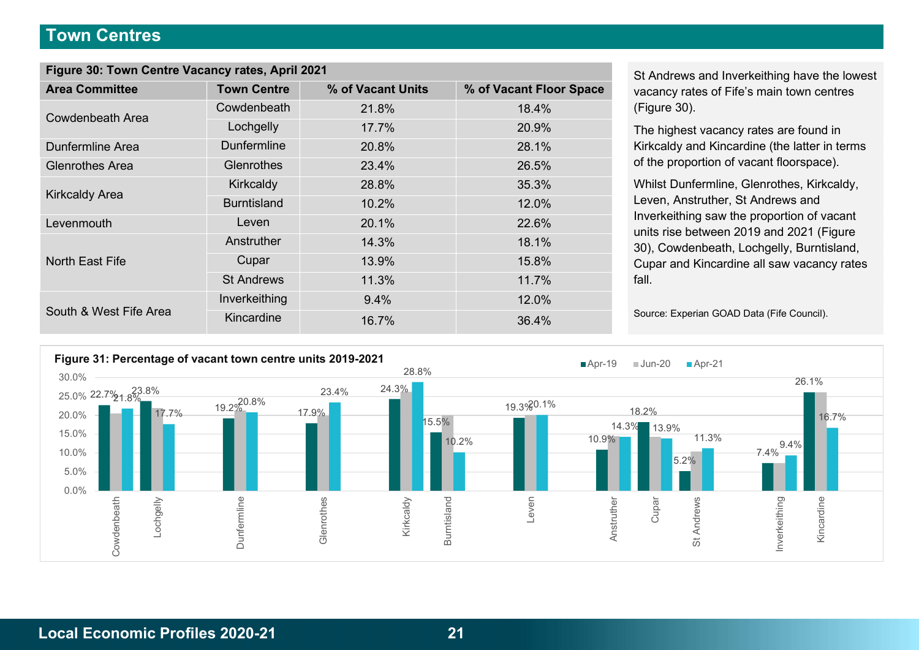### Town Centres

| Figure 30: Town Centre Vacancy rates, April 2021 |                    |                   |                         |  |  |  |
|--------------------------------------------------|--------------------|-------------------|-------------------------|--|--|--|
| <b>Area Committee</b>                            | <b>Town Centre</b> | % of Vacant Units | % of Vacant Floor Space |  |  |  |
| Cowdenbeath Area                                 | Cowdenbeath        | 21.8%             | 18.4%                   |  |  |  |
|                                                  | Lochgelly          | 17.7%             | 20.9%                   |  |  |  |
| <b>Dunfermline Area</b>                          | <b>Dunfermline</b> | 20.8%             | 28.1%                   |  |  |  |
| <b>Glenrothes Area</b>                           | Glenrothes         | 23.4%             | 26.5%                   |  |  |  |
|                                                  | Kirkcaldy          | 28.8%             | 35.3%                   |  |  |  |
| <b>Kirkcaldy Area</b>                            | <b>Burntisland</b> | 10.2%             | 12.0%                   |  |  |  |
| Levenmouth                                       | Leven              | 20.1%             | 22.6%                   |  |  |  |
|                                                  | Anstruther         | 14.3%             | 18.1%                   |  |  |  |
| North East Fife                                  | Cupar              | 13.9%             | 15.8%                   |  |  |  |
|                                                  | <b>St Andrews</b>  | 11.3%             | 11.7%                   |  |  |  |
|                                                  | Inverkeithing      | 9.4%              | 12.0%                   |  |  |  |
| South & West Fife Area                           | Kincardine         | 16.7%             | 36.4%                   |  |  |  |

St Andrews and Inverkeithing have the lowest vacancy rates of Fife's main town centres (Figure 30).

The highest vacancy rates are found in Kirkcaldy and Kincardine (the latter in terms of the proportion of vacant floorspace).

Whilst Dunfermline, Glenrothes, Kirkcaldy, Leven, Anstruther, St Andrews and Inverkeithing saw the proportion of vacant units rise between 2019 and 2021 (Figure 30), Cowdenbeath, Lochgelly, Burntisland, Cupar and Kincardine all saw vacancy rates fall.

Source: Experian GOAD Data (Fife Council).

![](_page_20_Figure_6.jpeg)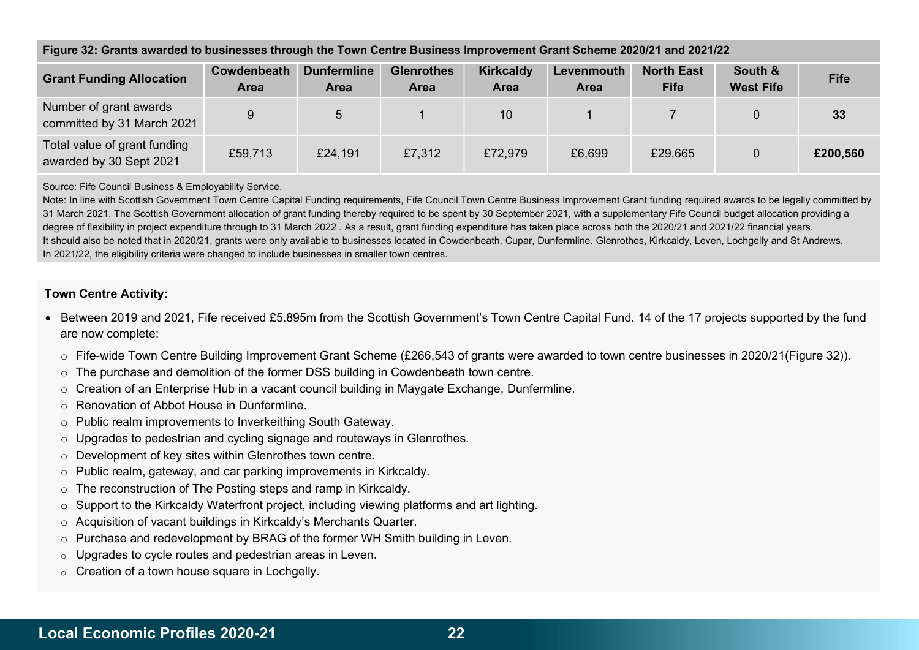| <b>Grant Funding Allocation</b>                         | Cowdenbeath<br><b>Area</b> | <b>Dunfermline</b><br><b>Area</b> | <b>Glenrothes</b><br><b>Area</b> | <b>Kirkcaldy</b><br><b>Area</b> | Levenmouth<br><b>Area</b> | <b>North East</b><br><b>Fife</b> | South &<br><b>West Fife</b> | <b>Fife</b> |
|---------------------------------------------------------|----------------------------|-----------------------------------|----------------------------------|---------------------------------|---------------------------|----------------------------------|-----------------------------|-------------|
| Number of grant awards<br>committed by 31 March 2021    | 9                          | 5                                 |                                  | 10                              |                           |                                  |                             | 33          |
| Total value of grant funding<br>awarded by 30 Sept 2021 | £59,713                    | £24,191                           | £7,312                           | £72,979                         | £6,699                    | £29,665                          |                             | £200,560    |

#### Figure 32: Grants awarded to businesses through the Town Centre Business Improvement Grant Scheme 2020/21 and 2021/22

Source: Fife Council Business & Employability Service.

Note: In line with Scottish Government Town Centre Capital Funding requirements, Fife Council Town Centre Business Improvement Grant funding required awards to be legally committed by 31 March 2021. The Scottish Government allocation of grant funding thereby required to be spent by 30 September 2021, with a supplementary Fife Council budget allocation providing a degree of flexibility in project expenditure through to 31 March 2022 . As a result, grant funding expenditure has taken place across both the 2020/21 and 2021/22 financial years. It should also be noted that in 2020/21, grants were only available to businesses located in Cowdenbeath, Cupar, Dunfermline. Glenrothes, Kirkcaldy, Leven, Lochgelly and St Andrews. In 2021/22, the eligibility criteria were changed to include businesses in smaller town centres.

#### Town Centre Activity:

- Between 2019 and 2021, Fife received £5.895m from the Scottish Government's Town Centre Capital Fund. 14 of the 17 projects supported by the fund are now complete:
	- $\circ$  Fife-wide Town Centre Building Improvement Grant Scheme (£266,543 of grants were awarded to town centre businesses in 2020/21(Figure 32)).
	- o The purchase and demolition of the former DSS building in Cowdenbeath town centre.
	- $\circ$  Creation of an Enterprise Hub in a vacant council building in Mavgate Exchange, Dunfermline.
	- o Renovation of Abbot House in Dunfermline.
	- o Public realm improvements to Inverkeithing South Gateway.
	- o Upgrades to pedestrian and cycling signage and routeways in Glenrothes.
	- o Development of key sites within Glenrothes town centre.
	- o Public realm, gateway, and car parking improvements in Kirkcaldy.
	- o The reconstruction of The Posting steps and ramp in Kirkcaldy.
	- $\circ$  Support to the Kirkcaldy Waterfront project, including viewing platforms and art lighting.
	- o Acquisition of vacant buildings in Kirkcaldy's Merchants Quarter.
	- $\circ$  Purchase and redevelopment by BRAG of the former WH Smith building in Leven.
	- o Upgrades to cycle routes and pedestrian areas in Leven.
	- $\circ$  Creation of a town house square in Lochgelly.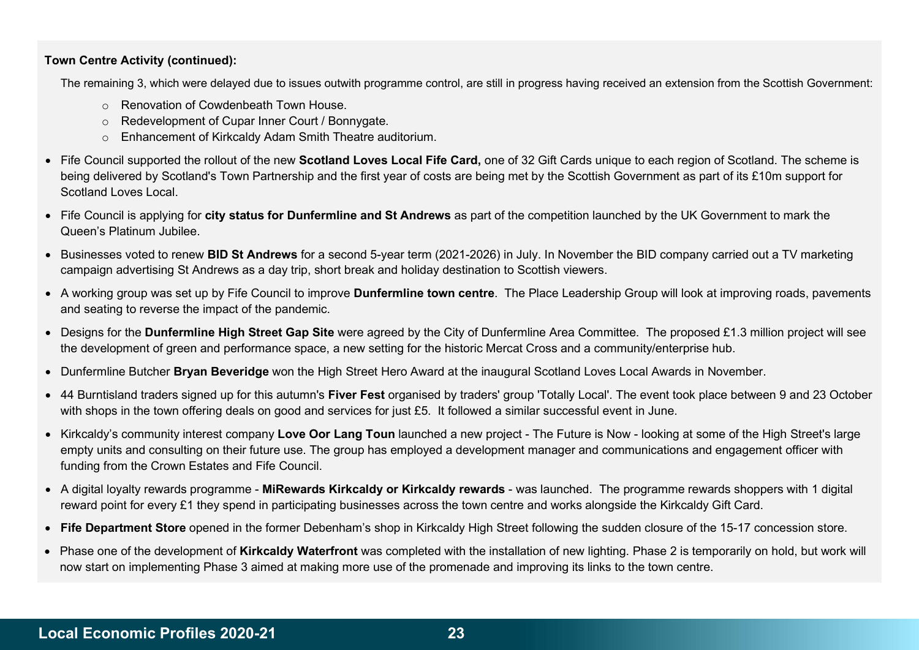### Town Centre Activity (continued):

The remaining 3, which were delayed due to issues outwith programme control, are still in progress having received an extension from the Scottish Government:

- o Renovation of Cowdenbeath Town House.
- o Redevelopment of Cupar Inner Court / Bonnygate.
- o Enhancement of Kirkcaldy Adam Smith Theatre auditorium.
- Fife Council supported the rollout of the new Scotland Loves Local Fife Card, one of 32 Gift Cards unique to each region of Scotland. The scheme is being delivered by Scotland's Town Partnership and the first year of costs are being met by the Scottish Government as part of its £10m support for Scotland Loves Local.
- Fife Council is applying for city status for Dunfermline and St Andrews as part of the competition launched by the UK Government to mark the Queen's Platinum Jubilee.
- Businesses voted to renew BID St Andrews for a second 5-year term (2021-2026) in July. In November the BID company carried out a TV marketing campaign advertising St Andrews as a day trip, short break and holiday destination to Scottish viewers.
- A working group was set up by Fife Council to improve Dunfermline town centre. The Place Leadership Group will look at improving roads, pavements and seating to reverse the impact of the pandemic.
- Designs for the **Dunfermline High Street Gap Site** were agreed by the City of Dunfermline Area Committee. The proposed £1.3 million project will see the development of green and performance space, a new setting for the historic Mercat Cross and a community/enterprise hub.
- Dunfermline Butcher **Bryan Beveridge** won the High Street Hero Award at the inaugural Scotland Loves Local Awards in November.
- 44 Burntisland traders signed up for this autumn's Fiver Fest organised by traders' group 'Totally Local'. The event took place between 9 and 23 October with shops in the town offering deals on good and services for just £5. It followed a similar successful event in June.
- Kirkcaldy's community interest company Love Oor Lang Toun launched a new project The Future is Now looking at some of the High Street's large empty units and consulting on their future use. The group has employed a development manager and communications and engagement officer with funding from the Crown Estates and Fife Council.
- A digital loyalty rewards programme MiRewards Kirkcaldy or Kirkcaldy rewards was launched. The programme rewards shoppers with 1 digital reward point for every £1 they spend in participating businesses across the town centre and works alongside the Kirkcaldy Gift Card.
- Fife Department Store opened in the former Debenham's shop in Kirkcaldy High Street following the sudden closure of the 15-17 concession store.
- Phase one of the development of Kirkcaldy Waterfront was completed with the installation of new lighting. Phase 2 is temporarily on hold, but work will now start on implementing Phase 3 aimed at making more use of the promenade and improving its links to the town centre.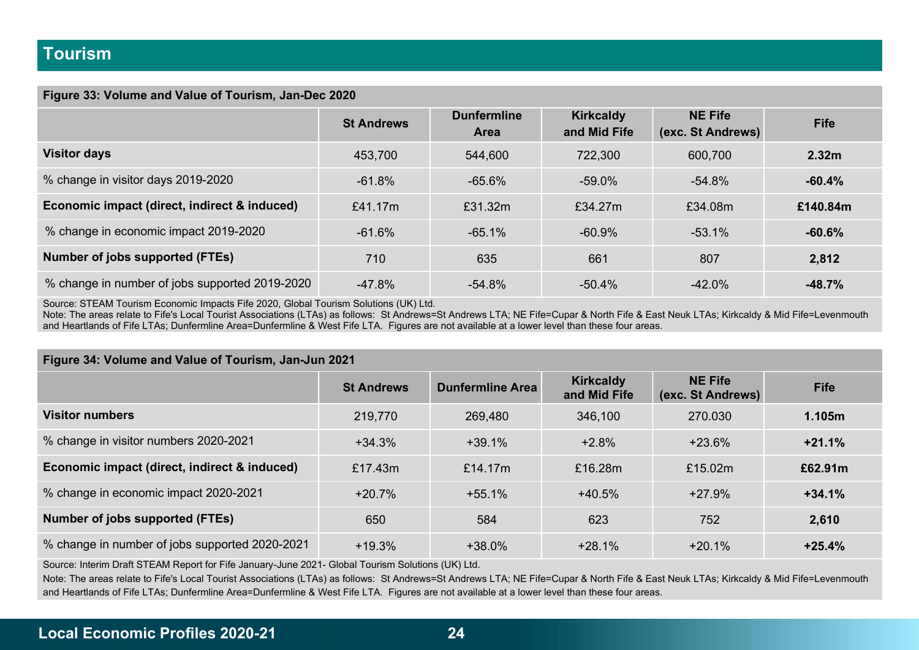#### Figure 33: Volume and Value of Tourism, Jan-Dec 2020

|                                                | <b>St Andrews</b> | <b>Dunfermline</b><br><b>Area</b> | <b>Kirkcaldy</b><br>and Mid Fife | <b>NE Fife</b><br>(exc. St Andrews) | <b>Fife</b>       |
|------------------------------------------------|-------------------|-----------------------------------|----------------------------------|-------------------------------------|-------------------|
| <b>Visitor days</b>                            | 453,700           | 544,600                           | 722,300                          | 600,700                             | 2.32 <sub>m</sub> |
| % change in visitor days 2019-2020             | $-61.8%$          | $-65.6%$                          | $-59.0%$                         | $-54.8%$                            | $-60.4%$          |
| Economic impact (direct, indirect & induced)   | £41.17m           | £31.32m                           | £34.27m                          | £34.08m                             | £140.84m          |
| % change in economic impact 2019-2020          | $-61.6%$          | $-65.1%$                          | $-60.9\%$                        | $-53.1%$                            | $-60.6%$          |
| Number of jobs supported (FTEs)                | 710               | 635                               | 661                              | 807                                 | 2,812             |
| % change in number of jobs supported 2019-2020 | $-47.8%$          | $-54.8%$                          | $-50.4\%$                        | $-42.0\%$                           | $-48.7%$          |

Source: STEAM Tourism Economic Impacts Fife 2020, Global Tourism Solutions (UK) Ltd.

Note: The areas relate to Fife's Local Tourist Associations (LTAs) as follows: St Andrews=St Andrews LTA; NE Fife=Cupar & North Fife & East Neuk LTAs; Kirkcaldy & Mid Fife=Levenmouth and Heartlands of Fife LTAs; Dunfermline Area=Dunfermline & West Fife LTA. Figures are not available at a lower level than these four areas.

| Figure 34: Volume and Value of Tourism, Jan-Jun 2021 |                   |                         |                                  |                                     |             |  |
|------------------------------------------------------|-------------------|-------------------------|----------------------------------|-------------------------------------|-------------|--|
|                                                      | <b>St Andrews</b> | <b>Dunfermline Area</b> | <b>Kirkcaldy</b><br>and Mid Fife | <b>NE Fife</b><br>(exc. St Andrews) | <b>Fife</b> |  |
| <b>Visitor numbers</b>                               | 219,770           | 269,480                 | 346,100                          | 270.030                             | 1.105m      |  |
| % change in visitor numbers 2020-2021                | $+34.3%$          | $+39.1%$                | $+2.8%$                          | $+23.6\%$                           | $+21.1%$    |  |
| Economic impact (direct, indirect & induced)         | £17.43m           | £14.17 $m$              | £16.28m                          | £15.02m                             | £62.91m     |  |
| % change in economic impact 2020-2021                | $+20.7%$          | $+55.1%$                | $+40.5%$                         | $+27.9%$                            | $+34.1%$    |  |
| Number of jobs supported (FTEs)                      | 650               | 584                     | 623                              | 752                                 | 2,610       |  |
| % change in number of jobs supported 2020-2021       | $+19.3%$          | +38.0%                  | $+28.1\%$                        | $+20.1\%$                           | $+25.4%$    |  |

Source: Interim Draft STEAM Report for Fife January-June 2021- Global Tourism Solutions (UK) Ltd.

Note: The areas relate to Fife's Local Tourist Associations (LTAs) as follows: St Andrews=St Andrews LTA; NE Fife=Cupar & North Fife & East Neuk LTAs; Kirkcaldy & Mid Fife=Levenmouth and Heartlands of Fife LTAs; Dunfermline Area=Dunfermline & West Fife LTA. Figures are not available at a lower level than these four areas.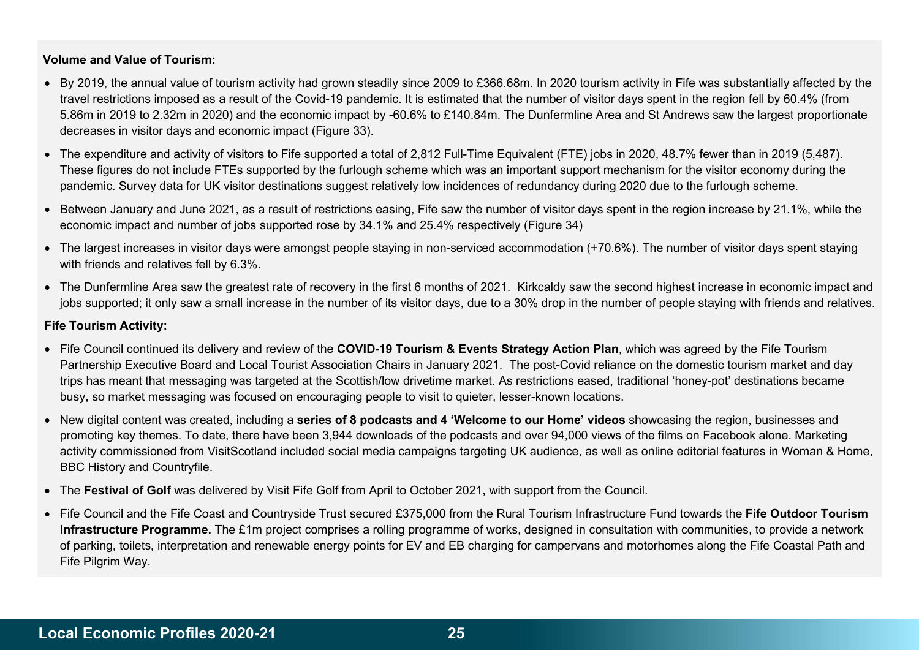### Volume and Value of Tourism:

- By 2019, the annual value of tourism activity had grown steadily since 2009 to £366.68m. In 2020 tourism activity in Fife was substantially affected by the travel restrictions imposed as a result of the Covid-19 pandemic. It is estimated that the number of visitor days spent in the region fell by 60.4% (from 5.86m in 2019 to 2.32m in 2020) and the economic impact by -60.6% to £140.84m. The Dunfermline Area and St Andrews saw the largest proportionate decreases in visitor days and economic impact (Figure 33).
- The expenditure and activity of visitors to Fife supported a total of 2,812 Full-Time Equivalent (FTE) jobs in 2020, 48.7% fewer than in 2019 (5,487). These figures do not include FTEs supported by the furlough scheme which was an important support mechanism for the visitor economy during the pandemic. Survey data for UK visitor destinations suggest relatively low incidences of redundancy during 2020 due to the furlough scheme.
- Between January and June 2021, as a result of restrictions easing, Fife saw the number of visitor days spent in the region increase by 21.1%, while the economic impact and number of jobs supported rose by 34.1% and 25.4% respectively (Figure 34)
- The largest increases in visitor days were amongst people staying in non-serviced accommodation (+70.6%). The number of visitor days spent staying with friends and relatives fell by 6.3%.
- The Dunfermline Area saw the greatest rate of recovery in the first 6 months of 2021. Kirkcaldy saw the second highest increase in economic impact and jobs supported; it only saw a small increase in the number of its visitor days, due to a 30% drop in the number of people staying with friends and relatives.

#### Fife Tourism Activity:

- Fife Council continued its delivery and review of the COVID-19 Tourism & Events Strategy Action Plan, which was agreed by the Fife Tourism Partnership Executive Board and Local Tourist Association Chairs in January 2021. The post-Covid reliance on the domestic tourism market and day trips has meant that messaging was targeted at the Scottish/low drivetime market. As restrictions eased, traditional 'honey-pot' destinations became busy, so market messaging was focused on encouraging people to visit to quieter, lesser-known locations.
- New digital content was created, including a series of 8 podcasts and 4 'Welcome to our Home' videos showcasing the region, businesses and promoting key themes. To date, there have been 3,944 downloads of the podcasts and over 94,000 views of the films on Facebook alone. Marketing activity commissioned from VisitScotland included social media campaigns targeting UK audience, as well as online editorial features in Woman & Home, BBC History and Countryfile.
- The Festival of Golf was delivered by Visit Fife Golf from April to October 2021, with support from the Council.
- Fife Council and the Fife Coast and Countryside Trust secured £375,000 from the Rural Tourism Infrastructure Fund towards the Fife Outdoor Tourism Infrastructure Programme. The £1m project comprises a rolling programme of works, designed in consultation with communities, to provide a network of parking, toilets, interpretation and renewable energy points for EV and EB charging for campervans and motorhomes along the Fife Coastal Path and Fife Pilgrim Way.